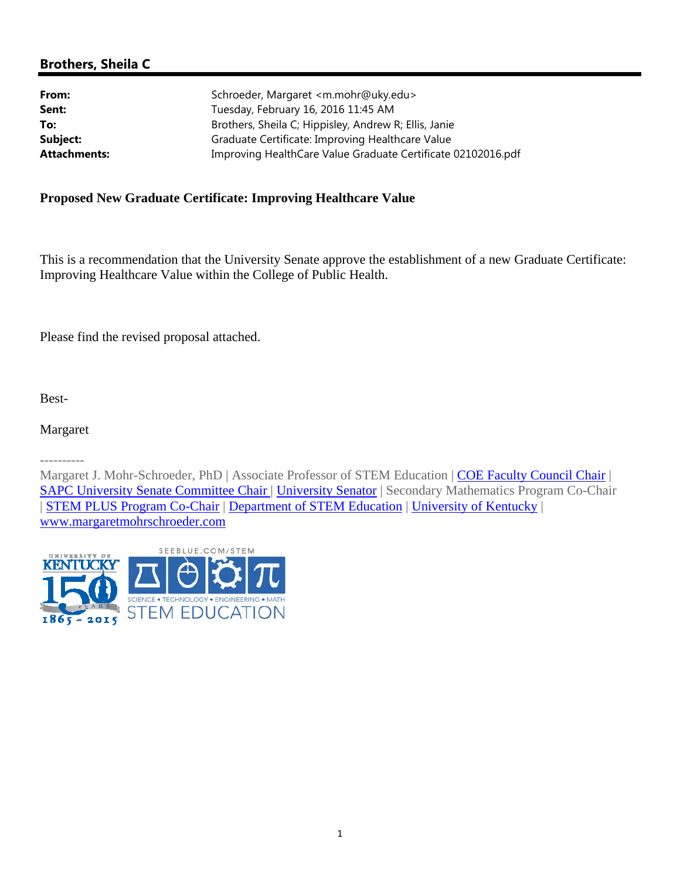## **Brothers, Sheila C**

| Schroeder, Margaret <m.mohr@uky.edu></m.mohr@uky.edu>                                        |  |  |
|----------------------------------------------------------------------------------------------|--|--|
| Tuesday, February 16, 2016 11:45 AM<br>Brothers, Sheila C; Hippisley, Andrew R; Ellis, Janie |  |  |
|                                                                                              |  |  |
| Improving HealthCare Value Graduate Certificate 02102016.pdf                                 |  |  |
|                                                                                              |  |  |

### **Proposed New Graduate Certificate: Improving Healthcare Value**

This is a recommendation that the University Senate approve the establishment of a new Graduate Certificate: Improving Healthcare Value within the College of Public Health.

Please find the revised proposal attached.

Best-

Margaret

----------

Margaret J. Mohr-Schroeder, PhD | Associate Professor of STEM Education | COE Faculty Council Chair | SAPC University Senate Committee Chair | University Senator | Secondary Mathematics Program Co-Chair | STEM PLUS Program Co-Chair | Department of STEM Education | University of Kentucky | www.margaretmohrschroeder.com

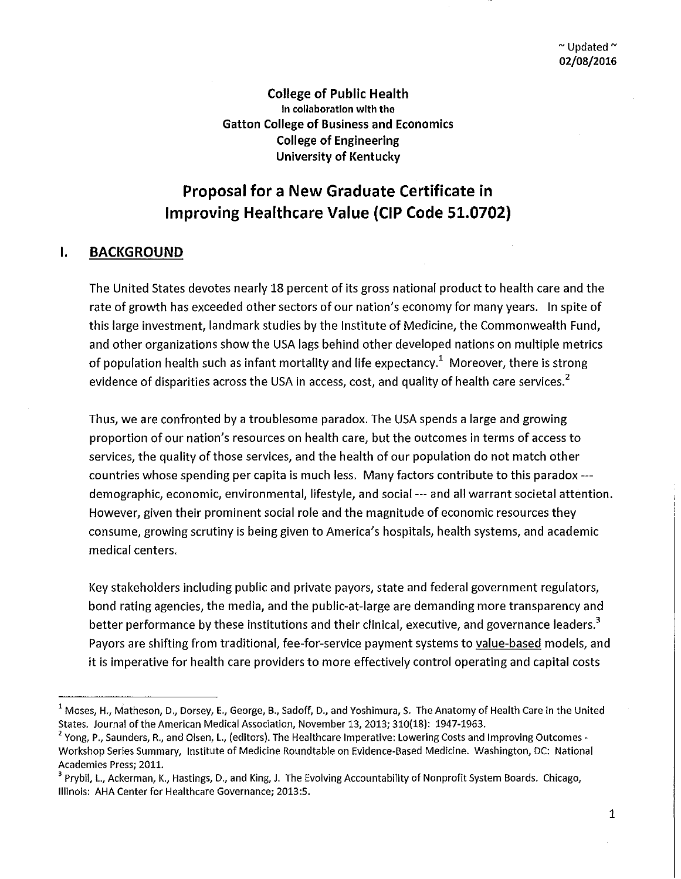**College of Public Health**  in collaboration with the **Gatton College of Business and Economics College of Engineering University of Kentucky** 

# **Proposal for a New Graduate Certificate in Improving Healthcare Value (CIP Code 51.0702)**

### **I. BACKGROUND**

The United States devotes nearly 18 percent of its gross national product to health care and the rate of growth has exceeded other sectors of our nation's economy for many years. In spite of this large investment, landmark studies by the Institute of Medicine, the Commonwealth Fund, and other organizations show the USA lags behind other developed nations on multiple metrics of population health such as infant mortality and life expectancy.<sup>1</sup> Moreover, there is strong evidence of disparities across the USA in access, cost, and quality of health care services.<sup>2</sup>

Thus, we are confronted by a troublesome paradox. The USA spends a large and growing proportion of our nation's resources on health care, but the outcomes in terms of access to services, the quality of those services, and the health of our population do not match other countries whose spending per capita is much less. Many factors contribute to this paradox -- demographic, economic, environmental, lifestyle, and social --- and all warrant societal attention. However, given their prominent social role and the magnitude of economic resources they consume, growing scrutiny is being given to America's hospitals, health systems, and academic medical centers.

Key stakeholders including public and private payors, state and federal government regulators, bond rating agencies, the media, and the public-at-large are demanding more transparency and better performance by these institutions and their clinical, executive, and governance leaders.<sup>3</sup> Payers are shifting from traditional, fee-for-service payment systems to value-based models, and it is imperative for health care providers to more effectively control operating and capital costs

1

 $1$  Moses, H., Matheson, D., Dorsey, E., George, B., Sadoff, D., and Yoshimura, S. The Anatomy of Health Care in the United States. Journal of the American Medical Association, November 13, 2013; 310(18): 1947-1963.

<sup>&</sup>lt;sup>2</sup> Yong, P., Saunders, R., and Olsen, L., (editors). The Healthcare Imperative: Lowering Costs and Improving Outcomes -Workshop Series Summary, Institute of Medicine Roundtable on Evidence-Based Medicine. Washington, DC: National Academies Press; 2011.

<sup>&</sup>lt;sup>3</sup> Prybil, L., Ackerman, K., Hastings, D., and King, J. The Evolving Accountability of Nonprofit System Boards. Chicago, Illinois: AHA Center for Healthcare Governance; 2013:5.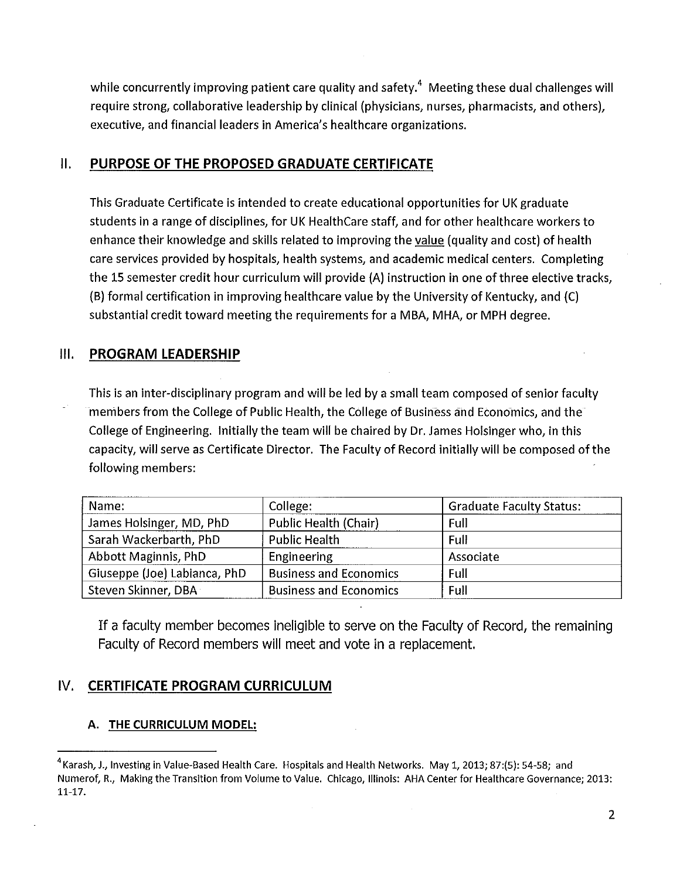while concurrently improving patient care quality and safety.<sup>4</sup> Meeting these dual challenges will require strong, collaborative leadership by clinical (physicians, nurses, pharmacists, and others), executive, and financial leaders in America's healthcare organizations.

### II. **PURPOSE OF THE PROPOSED GRADUATE CERTIFICATE**

This Graduate Certificate is intended to create educational opportunities for UK graduate students in a range of disciplines, for UK HealthCare staff, and for other healthcare workers to enhance their knowledge and skills related to improving the value (quality and cost) of health care services provided by hospitals, health systems, and academic medical centers. Completing the 15 semester credit hour curriculum will provide (A) instruction in one of three elective tracks, (B) formal certification in improving healthcare value by the University of Kentucky, and (C) substantial credit toward meeting the requirements for a MBA, MHA, or MPH degree.

### Ill. **PROGRAM LEADERSHIP**

This is an inter-disciplinary program and will be led by a small team composed of senior faculty members from the College of Public Health, the College of Business and Economics, and the College of Engineering. Initially the team will be chaired by Dr. James Holsinger who, in this capacity, will serve as Certificate Director. The Faculty of Record initially will be composed of the following members:

| Name:                        | College:                             | <b>Graduate Faculty Status:</b> |  |
|------------------------------|--------------------------------------|---------------------------------|--|
| James Holsinger, MD, PhD     | <b>Public Health (Chair)</b><br>Full |                                 |  |
| Sarah Wackerbarth, PhD       | <b>Public Health</b>                 | <b>Full</b>                     |  |
| Abbott Maginnis, PhD         | Engineering                          | Associate                       |  |
| Giuseppe (Joe) Labianca, PhD | <b>Business and Economics</b>        | Full                            |  |
| Steven Skinner, DBA          | <b>Business and Economics</b>        | Full                            |  |

If a faculty member becomes ineligible to serve on the Faculty of Record, the remaining Faculty of Record members will meet and vote in a replacement.

# IV. **CERTIFICATE PROGRAM CURRICULUM**

### **A. THE CURRICULUM MODEL:**

<sup>&</sup>lt;sup>4</sup> Karash, J., Investing in Value-Based Health Care. Hospitals and Health Networks. May 1, 2013; 87:(5): 54-58; and Numerof, R., Making the Transition from Volume to Value. Chicago, Illinois: AHA Center for Healthcare Governance; 2013: 11-17.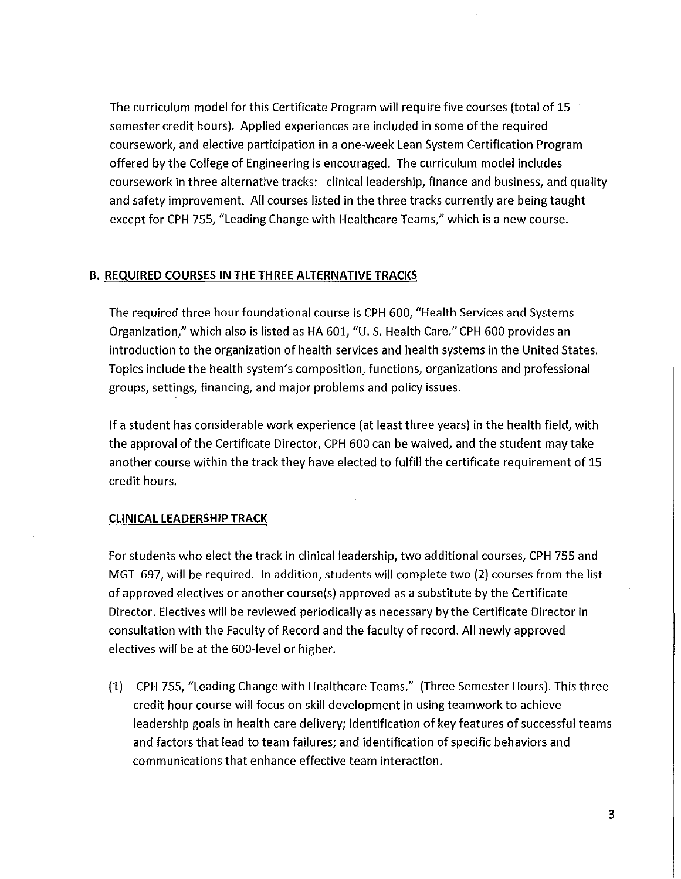The curriculum model for this Certificate Program will require five courses (total of 15 semester credit hours). Applied experiences are included in some of the required coursework, and elective participation in a one-week Lean System Certification Program offered by the College of Engineering is encouraged. The curriculum model includes coursework in three alternative tracks: clinical leadership, finance and business, and quality and safety improvement. All courses listed in the three tracks currently are being taught except for CPH 755, "Leading Change with Healthcare Teams," which is a new course.

#### B. **REQUIRED COURSES IN THE THREE ALTERNATIVE TRACKS**

The required three hour foundational course is CPH 600, "Health Services and Systems Organization," which also is listed as HA 601, "U.S. Health Care." CPH 600 provides an introduction to the organization of health services and health systems in the United States. Topics include the health system's composition, functions, organizations and professional groups, settings, financing, and major problems and policy issues.

If a student has considerable work experience (at least three years) in the health field, with the approval of the Certificate Director, CPH 600 can be waived, and the student may take another course within the track they have elected to fulfill the certificate requirement of 15 credit hours.

#### **CLINICAL LEADERSHIP TRACK**

For students who elect the track in clinical leadership, two additional courses, CPH 755 and MGT 697, will be required. In addition, students will complete two (2) courses from the list of approved electives or another course(s) approved as a substitute by the Certificate Director. Electives will be reviewed periodically as necessary by the Certificate Director in consultation with the Faculty of Record and the faculty of record. All newly approved electives will be at the 600-level or higher.

(1) CPH 755, "Leading Change with Healthcare Teams." (Three Semester Hours). This three credit hour course will focus on skill development in using teamwork to achieve leadership goals in health care delivery; identification of key features of successful teams and factors that lead to team failures; and identification of specific behaviors and communications that enhance effective team interaction.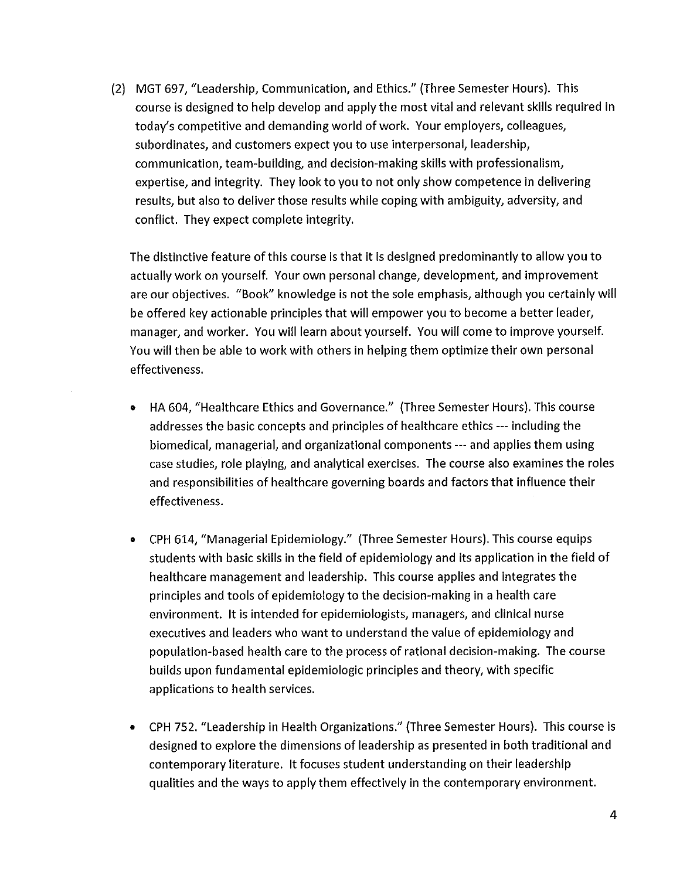(2) MGT 697, "Leadership, Communication, and Ethics." (Three Semester Hours). This course is designed to help develop and apply the most vital and relevant skills required in today's competitive and demanding world of work. Your employers, colleagues, subordinates, and customers expect you to use interpersonal, leadership, communication, team-building, and decision-making skills with professionalism, expertise, and integrity. They look to you to not only show competence in delivering results, but also to deliver those results while coping with ambiguity, adversity, and conflict. They expect complete integrity.

The distinctive feature of this course is that it is designed predominantly to allow you to actually work on yourself. Your own personal change, development, and improvement are our objectives. "Book" knowledge is not the sole emphasis, although you certainly will be offered key actionable principles that will empower you to become a better leader, manager, and worker. You will learn about yourself. You will come to improve yourself. You will then be able to work with others in helping them optimize their own personal effectiveness.

- HA 604, "Healthcare Ethics and Governance." (Three Semester Hours). This course addresses the basic concepts and principles of healthcare ethics --- including the biomedical, managerial, and organizational components --- and applies them using case studies, role playing, and analytical exercises. The course also examines the roles and responsibilities of healthcare governing boards and factors that influence their effectiveness.
- CPH 614, "Managerial Epidemiology." (Three Semester Hours). This course equips students with basic skills in the field of epidemiology and its application in the field of healthcare management and leadership. This course applies and integrates the principles and tools of epidemiology to the decision-making in a health care environment. It is intended for epidemiologists, managers, and clinical nurse executives and leaders who want to understand the value of epidemiology and population-based health care to the process of rational decision-making. The course builds upon fundamental epidemiologic principles and theory, with specific applications to health services.
- CPH 752. "Leadership in Health Organizations." (Three Semester Hours). This course is designed to explore the dimensions of leadership as presented in both traditional and contemporary literature. It focuses student understanding on their leadership qualities and the ways to apply them effectively in the contemporary environment.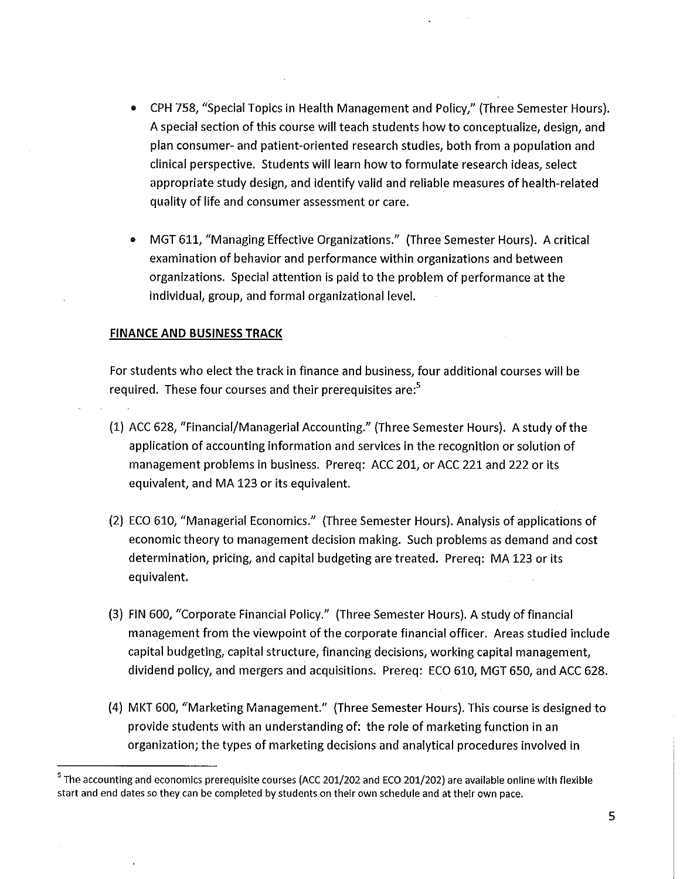- CPH 758, "Special Topics in Health Management and Policy," (Three Semester Hours). A special section of this course will teach students how to conceptualize, design, and plan consumer- and patient-oriented research studies, both from a population and clinical perspective. Students will learn how to formulate research ideas, select appropriate study design, and identify valid and reliable measures of health-related quality of life and consumer assessment or care.
- MGT 611, "Managing Effective Organizations." (Three Semester Hours). A critical examination of behavior and performance within organizations and between organizations. Special attention is paid to the problem of performance at the individual, group, and formal organizational level.

#### **FINANCE AND BUSINESS TRACK**

For students who elect the track in finance and business, four additional courses will be required. These four courses and their prerequisites are:<sup>5</sup>

- (1) ACC 628, "Financial/Managerial Accounting." (Three Semester Hours). A study of the application of accounting information and services in the recognition or solution of management problems in business. Prereq: ACC 201, or ACC 221 and 222 or its equivalent, and MA 123 or its equivalent.
- (2) ECO 610, "Managerial Economics." (Three Semester Hours). Analysis of applications of economic theory to management decision making. Such problems as demand and cost determination, pricing, and capital budgeting are treated. Prereq: MA 123 or its equivalent.
- (3) FIN 600, "Corporate Financial Policy." (Three Semester Hours). A study of financial management from the viewpoint of the corporate financial officer. Areas studied include capital budgeting, capital structure, financing decisions, working capital management, dividend policy, and mergers and acquisitions. Prereq: ECO 610, MGT 650, and ACC 628.
- (4) MKT 600, "Marketing Management." (Three Semester Hours). This course is designed to provide students with an understanding of: the role of marketing function in an organization; the types of marketing decisions and analytical procedures involved in

<sup>&</sup>lt;sup>5</sup> The accounting and economics prerequisite courses (ACC 201/202 and ECO 201/202) are available online with flexible start and end dates so they can be completed by students on their own schedule and at their own pace.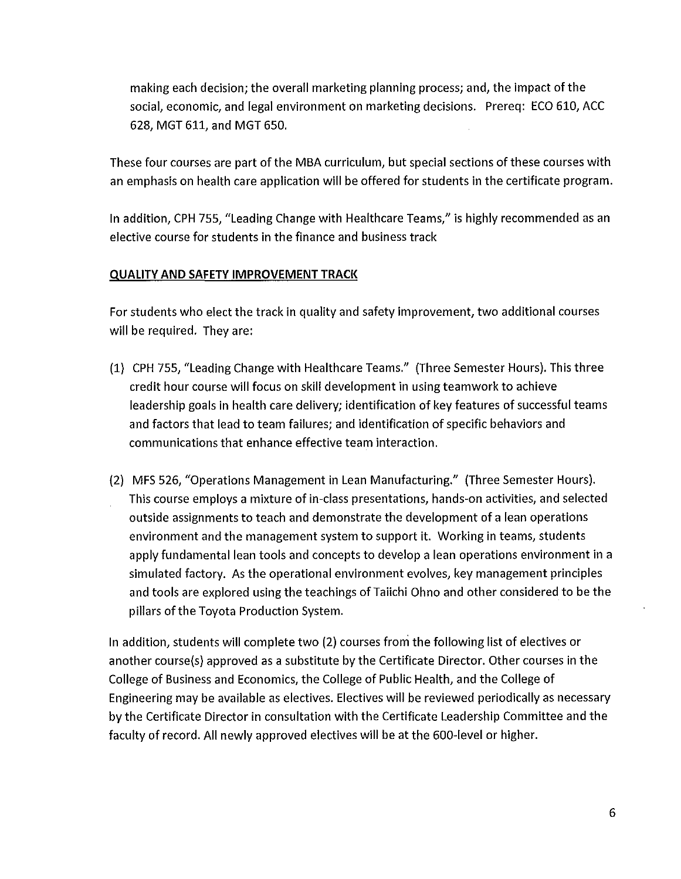making each decision; the overall marketing planning process; and, the impact of the social, economic, and legal environment on marketing decisions. Prereq: ECO 610, ACC 628, MGT 611, and MGT 650.

These four courses are part of the MBA curriculum, but special sections of these courses with an emphasis on health care application will be offered for students in the certificate program.

In addition, CPH 755, "Leading Change with Healthcare Teams," is highly recommended as an elective course for students in the finance and business track

### **QUALITY AND SAFETY IMPROVEMENT TRACK**

For students who elect the track in quality and safety improvement, two additional courses will be required. They are:

- (1) CPH 755, "Leading Change with Healthcare Teams." (Three Semester Hours). This three credit hour course will focus on skill development in using teamwork to achieve leadership goals in health care delivery; identification of key features of successful teams and factors that lead to team failures; and identification of specific behaviors and communications that enhance effective team interaction.
- (2) MFS 526, "Operations Management in Lean Manufacturing." (Three Semester Hours). This course employs a mixture of in-class presentations, hands-on activities, and selected outside assignments to teach and demonstrate the development of a lean operations environment and the management system to support it. Working in teams, students apply fundamental lean tools and concepts to develop a lean operations environment in a simulated factory. As the operational environment evolves, key management principles and tools are explored using the teachings of Taiichi Ohno and other considered to be the pillars of the Toyota Production System.

In addition, students will complete two (2) courses from the following list of electives or another course(s) approved as a substitute by the Certificate Director. Other courses in the College of Business and Economics, the College of Public Health, and the College of Engineering may be available as electives. Electives will be reviewed periodically as necessary by the Certificate Director in consultation with the Certificate Leadership Committee and the faculty of record. All newly approved electives will be at the 600-level or higher.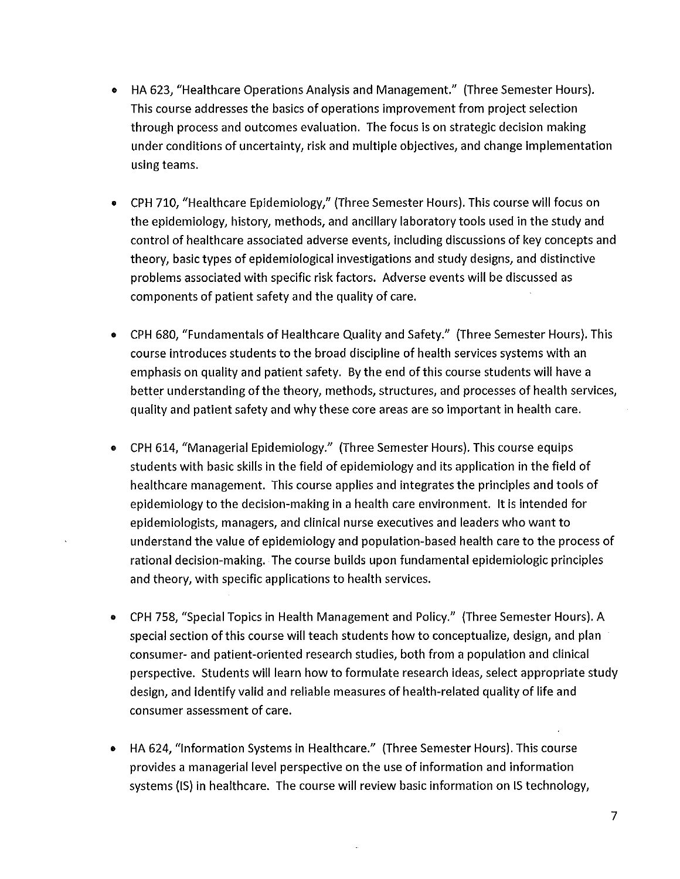- HA 623, "Healthcare Operations Analysis and Management." (Three Semester Hours). This course addresses the basics of operations improvement from project selection through process and outcomes evaluation. The focus is on strategic decision making under conditions of uncertainty, risk and multiple objectives, and change implementation using teams.
- CPH 710, "Healthcare Epidemiology," (Three Semester Hours). This course will focus on the epidemiology, history, methods, and ancillary laboratory tools used in the study and control of healthcare associated adverse events, including discussions of key concepts and theory, basic types of epidemiological investigations and study designs, and distinctive problems associated with specific risk factors. Adverse events will be discussed as components of patient safety and the quality of care.
- CPH 680, "Fundamentals of Healthcare Quality and Safety." (Three Semester Hours). This course introduces students to the broad discipline of health services systems with an emphasis on quality and patient safety. By the end of this course students will have a better understanding of the theory, methods, structures, and processes of health services, quality and patient safety and why these core areas are so important in health care.
- CPH 614, "Managerial Epidemiology." (Three Semester Hours). This course equips students with basic skills in the field of epidemiology and its application in the field of healthcare management. This course applies and integrates the principles and tools of epidemiology to the decision-making in a health care environment. It is intended for epidemiologists, managers, and clinical nurse executives and leaders who want to understand the value of epidemiology and population-based health care to the process of rational decision-making. The course builds upon fundamental epidemiologic principles and theory, with specific applications to health services.
- CPH 758, "Special Topics in Health Management and Policy." (Three Semester Hours). A special section of this course will teach students how to conceptualize, design, and plan consumer- and patient-oriented research studies, both from a population and clinical perspective. Students will learn how to formulate research ideas, select appropriate study design, and identify valid and reliable measures of health-related quality of life and consumer assessment of care.
- HA 624, "Information Systems in Healthcare." (Three Semester Hours). This course provides a managerial level perspective on the use of information and information systems (IS) in healthcare. The course will review basic information on IS technology,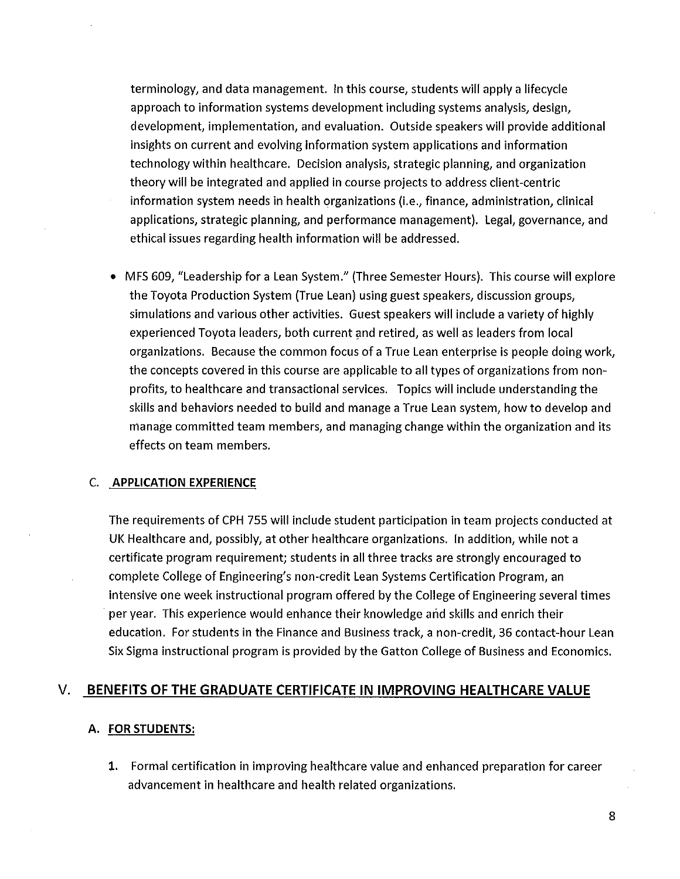terminology, and data management. In this course, students will apply a lifecycle approach to information systems development including systems analysis, design, development, implementation, and evaluation. Outside speakers will provide additional insights on current and evolving information system applications and information technology within healthcare. Decision analysis, strategic planning, and organization theory will be integrated and applied in course projects to address client-centric information system needs in health organizations (i.e., finance, administration, clinical applications, strategic planning, and performance management}. Legal, governance, and ethical issues regarding health information will be addressed.

• MFS 609, "Leadership for a Lean System." (Three Semester Hours}. This course will explore the Toyota Production System (True Lean} using guest speakers, discussion groups, simulations and various other activities. Guest speakers will include a variety of highly experienced Toyota leaders, both current and retired, as well as leaders from local organizations. Because the common focus of a True Lean enterprise is people doing work, the concepts covered in this course are applicable to all types of organizations from nonprofits, to healthcare and transactional services. Topics will include understanding the skills and behaviors needed to build and manage a True Lean system, how to develop and manage committed team members, and managing change within the organization and its effects on team members.

#### C. **APPLICATION EXPERIENCE**

The requirements of CPH 755 will include student participation in team projects conducted at UK Healthcare and, possibly, at other healthcare organizations. In addition, while not a certificate program requirement; students in all three tracks are strongly encouraged to complete College of Engineering's non-credit Lean Systems Certification Program, an intensive one week instructional program offered by the College of Engineering several times per year. This experience would enhance their knowledge and skills and enrich their education. For students in the Finance and Business track, a non-credit, 36 contact-hour Lean Six Sigma instructional program is provided by the Gatton College of Business and Economics.

### V. **BENEFITS OF THE GRADUATE CERTIFICATE IN IMPROVING HEALTHCARE VALUE**

#### **A. FOR STUDENTS:**

**1.** Formal certification in improving healthcare value and enhanced preparation for career advancement in healthcare and health related organizations.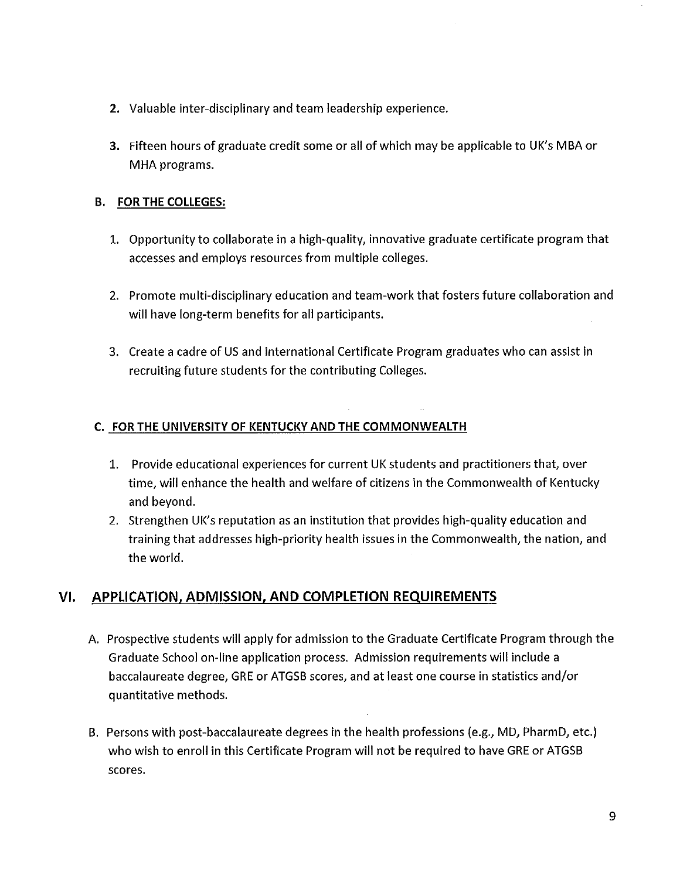- **2.** Valuable inter-disciplinary and team leadership experience.
- **3.** Fifteen hours of graduate credit some or all of which may be applicable to UK's MBA or MHA programs.

### **B. FOR THE COLLEGES:**

- 1. Opportunity to collaborate in a high-quality, innovative graduate certificate program that accesses and employs resources from multiple colleges.
- 2. Promote multi-disciplinary education and team-work that fosters future collaboration and will have long-term benefits for all participants.
- 3. Create a cadre of US and international Certificate Program graduates who can assist in recruiting future students for the contributing Colleges.

### **C. FOR THE UNIVERSITY OF KENTUCKY AND THE COMMONWEALTH**

- 1. Provide educational experiences for current UK students and practitioners that, over time, will enhance the health and welfare of citizens in the Commonwealth of Kentucky and beyond.
- 2. Strengthen UK's reputation as an institution that provides high-quality education and training that addresses high-priority health issues in the Commonwealth, the nation, and the world.

### **VI. APPLICATION, ADMISSION, AND COMPLETION REQUIREMENTS**

- A. Prospective students will apply for admission to the Graduate Certificate Program through the Graduate School on-line application process. Admission requirements will include a baccalaureate degree, GRE or ATGSB scores, and at least one course in statistics and/or quantitative methods.
- B. Persons with post-baccalaureate degrees in the health professions (e.g., MD, PharmD, etc.) who wish to enroll in this Certificate Program will not be required to have GRE or ATGSB scores.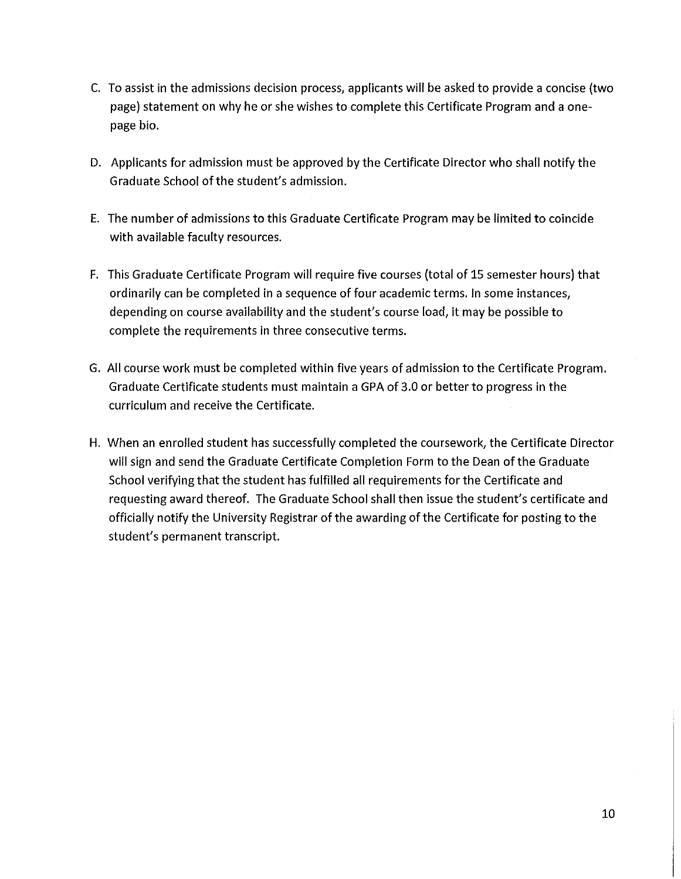- C. To assist in the admissions decision process, applicants will be asked to provide a concise (two page) statement on why he or she wishes to complete this Certificate Program and a onepage bio.
- D. Applicants for admission must be approved by the Certificate Director who shall notify the Graduate School of the student's admission.
- E. The number of admissions to this Graduate Certificate Program may be limited to coincide with available faculty resources.
- F. This Graduate Certificate Program will require five courses (total of 15 semester hours) that ordinarily can be completed in a sequence of four academic terms. In some instances, depending on course availability and the student's course load, it may be possible to complete the requirements in three consecutive terms.
- G. All course work must be completed within five years of admission to the Certificate Program. Graduate Certificate students must maintain a GPA of 3.0 or better to progress in the curriculum and receive the Certificate.
- H. When an enrolled student has successfully completed the coursework, the Certificate Director will sign and send the Graduate Certificate Completion Form to the Dean of the Graduate School verifying that the student has fulfilled all requirements for the Certificate and requesting award thereof. The Graduate School shall then issue the student's certificate and officially notify the University Registrar of the awarding of the Certificate for posting to the student's permanent transcript.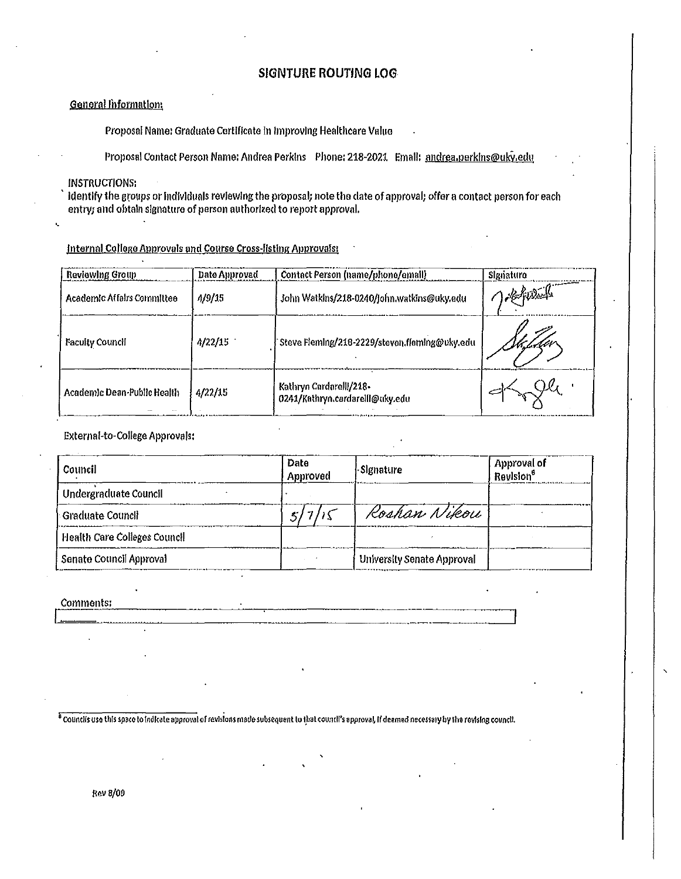#### **SJGNTURE ROUTING LOG**

#### General Information

Proposal Name: Graduate Certificate In Improving Healthcare Value

Proposal Contact Person Name: Andrea Perkins Phone: 218-2021 Email: andrea.perkins@uky.edu

INSTRUCTIONS:

•.

Identify the groups or individuals reviewing the proposal; note the date of approval; offer a contact person for each entry; and obtain signature of person authorized to report approval.

Internal College Approvals and Course Cross-listing Approvals:

| Reviewing Group             | Date Approved | Contact Person (name/phone/email)                          | Signaturo  |
|-----------------------------|---------------|------------------------------------------------------------|------------|
| Academic Affairs Committee  | 4/9/15        | John Watkins/218-0240/john watkins@uky.edu                 | 1 Scherler |
| Faculty Council             | 4/22/15       | Steve Fleming/218-2229/steven fleming@uky.edu              |            |
| Academic Dean-Public Health | 4/22/15       | Kathryn Cardarelll/218-<br>0241/Kathryn.cardarelll@uky.edu |            |

#### External-to-College Approvals:

| Council                      | Date<br>Approved | <b>Signature</b>           | Approval of<br>Revision <sup>6</sup> |
|------------------------------|------------------|----------------------------|--------------------------------------|
| Undergraduate Council        |                  |                            |                                      |
| - Graduate Council           |                  | Roshan Nikou               |                                      |
| Health Care Colleges Council |                  |                            |                                      |
| Senate Council Approval      |                  | University Senate Approval |                                      |

'

Comments:

<sup>6</sup> Councils use this space to indicate approval of revisions made subsequent to that countil's approval, if deemed necessary by the revising council.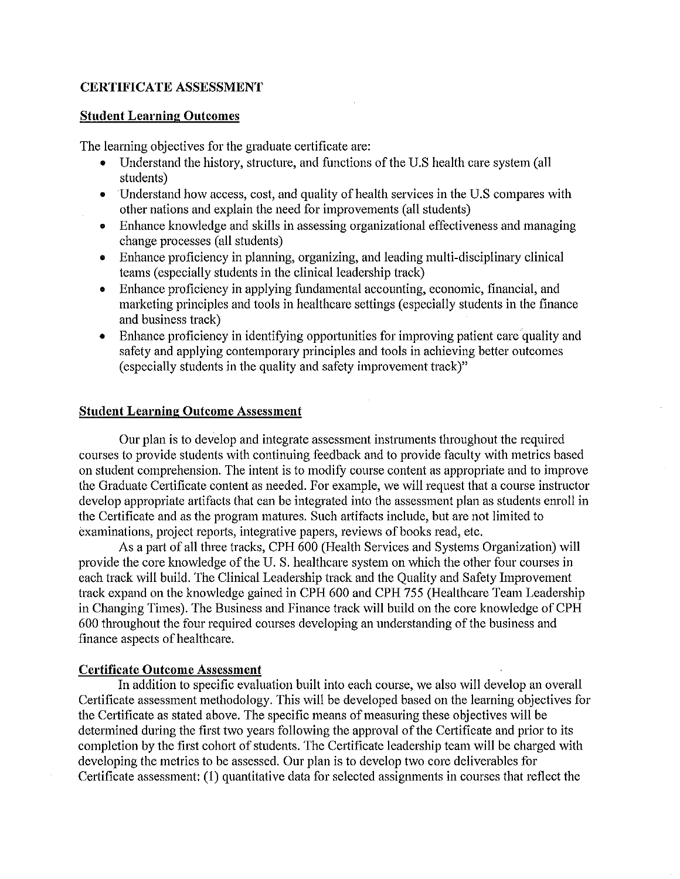#### **CERTIFICATE ASSESSMENT**

#### **Student Learning Outcomes**

The learning objectives for the graduate certificate are:

- Understand the history, structure, and functions of the U.S health care system (all students)
- Understand how access, cost, and quality of health services in the U.S compares with other nations and explain the need for improvements (all students)
- Enhance knowledge and skills in assessing organizational effectiveness and managing change processes (all students)
- Enhance proficiency in planning, organizing, and leading multi-disciplinary clinical teams (especially students in the clinical leadership track)
- Enhance proficiency in applying fundamental accounting, economic, financial, and marketing principles and tools in healthcare settings (especially students in the finance and business track)
- Enhance proficiency in identifying opportunities for improving patient care quality and safety and applying contemporary principles and tools in achieving better outcomes (especially students in the quality and safety improvement track)"

#### **Student Learning Outcome Assessment**

Our plan is to develop and integrate assessment instruments throughout the required courses to provide students with continuing feedback and to provide faculty with metrics based on student comprehension. The intent is to modify course content as appropriate and to improve the Graduate Certificate content as needed. For example, we will request that a course instructor develop appropriate artifacts that can be integrated into the assessment plan as students emoll in the Certificate and as the program matures. Such artifacts include, but are not limited to examinations, project reports, integrative papers, reviews of books read, etc.

As a part of all three tracks, CPH 600 (Health Services and Systems Organization) will provide the core knowledge of the U.S. healthcare system on which the other four courses in each track will build. The Clinical Leadership track and the Quality and Safety Improvement track expand on the knowledge gained in CPH 600 and CPH 755 (Healthcare Team Leadership in Changing Times). The Business and Finance track will build on the core knowledge of CPH 600 throughout the four required courses developing an understanding of the business and finance aspects of healthcare.

#### **Certificate Outcome Assessment**

In addition to specific evaluation built into each course, we also will develop an overall Certificate assessment methodology. This will be developed based on the learning objectives for the Certificate as stated above. The specific means of measuring these objectives will be determined during the first two years following the approval of the Certificate and prior to its completion by the first cohort of students. The Certificate leadership team will be charged with developing the metrics to be assessed. Our plan is to develop two core deliverables for Certificate assessment: (1) quantitative data for selected assignments in courses that reflect the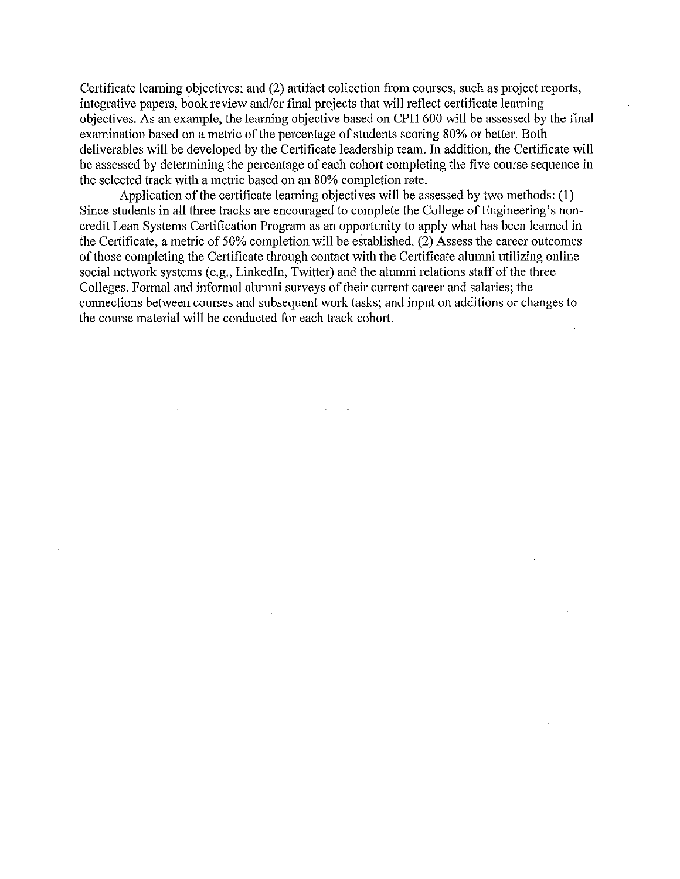Certificate learning objectives; and (2) artifact collection from courses, such as project reports, integrative papers, book review and/or final projects that will reflect certificate learning objectives. As an example, the learning objective based on CPH 600 will be assessed by the final . examination based on a metric of the percentage of students scoring 80% or better. Both deliverables will be developed by the Certificate leadership team. In addition, the Certificate will be assessed by determining the percentage of each cohort completing the five course sequence in the selected track with a metric based on an 80% completion rate.

Application of the certificate learning objectives will be assessed by two methods: (1) Since students in all three tracks are encouraged to complete the College of Engineering's noncredit Lean Systems Certification Program as an opportunity to apply what has been learned in the Certificate, a metric of 50% completion will be established. (2) Assess the career outcomes of those completing the Certificate through contact with the Certificate alumni utilizing online social network systems (e.g., Linkedln, Twitter) and the alumni relations staff of the three Colleges. Formal and informal alumni surveys of their current career and salaries; the connections between courses and subsequent work tasks; and input on additions or changes to the course material will be conducted for each track cohort.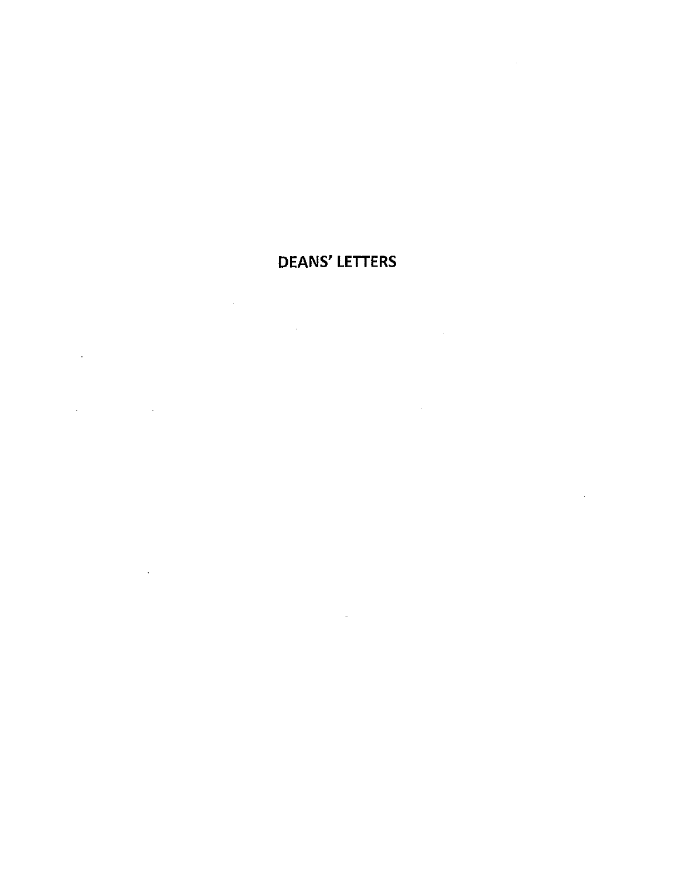# DEANS' LETTERS

 $\sim$   $\alpha$ 

 $\label{eq:2.1} \frac{1}{\sqrt{2}}\int_{\mathbb{R}^3}\frac{1}{\sqrt{2}}\left(\frac{1}{\sqrt{2}}\right)^2\frac{1}{\sqrt{2}}\left(\frac{1}{\sqrt{2}}\right)^2\frac{1}{\sqrt{2}}\left(\frac{1}{\sqrt{2}}\right)^2\frac{1}{\sqrt{2}}\left(\frac{1}{\sqrt{2}}\right)^2.$ 

 $\mathcal{L}^{\text{max}}_{\text{max}}$  and  $\mathcal{L}^{\text{max}}_{\text{max}}$ 

 $\label{eq:2.1} \frac{1}{\sqrt{2}}\int_{\mathbb{R}^3}\frac{1}{\sqrt{2}}\left(\frac{1}{\sqrt{2}}\right)^2\frac{1}{\sqrt{2}}\left(\frac{1}{\sqrt{2}}\right)^2\frac{1}{\sqrt{2}}\left(\frac{1}{\sqrt{2}}\right)^2.$ 

 $\sim 10$ 

 $\label{eq:2.1} \frac{1}{\sqrt{2}}\sum_{i=1}^n\frac{1}{\sqrt{2}}\left(\frac{1}{\sqrt{2}}\sum_{i=1}^n\frac{1}{\sqrt{2}}\sum_{i=1}^n\frac{1}{\sqrt{2}}\sum_{i=1}^n\frac{1}{\sqrt{2}}\sum_{i=1}^n\frac{1}{\sqrt{2}}\sum_{i=1}^n\frac{1}{\sqrt{2}}\sum_{i=1}^n\frac{1}{\sqrt{2}}\sum_{i=1}^n\frac{1}{\sqrt{2}}\sum_{i=1}^n\frac{1}{\sqrt{2}}\sum_{i=1}^n\frac{1}{\sqrt{2$ 

 $\sim 100$  km s  $^{-1}$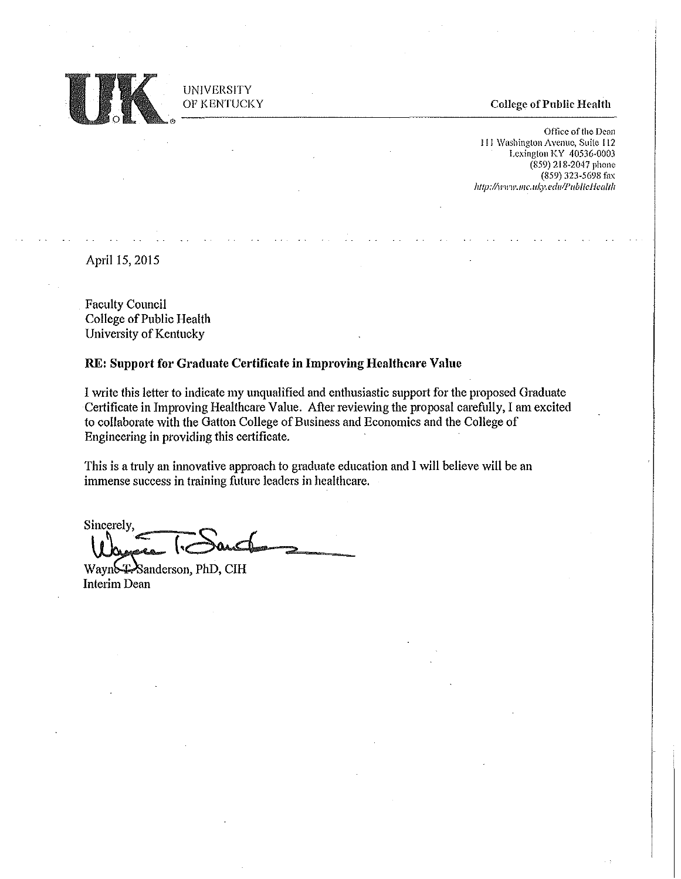

UNIVERSITY OF KENTUCKY

#### College of Public Health

Office of the Dean 111 Washington Avenue, Suite 112 Lexington KY 40536-0003 (859) 218-2047 phone (859) 323-5698 fax *http: llll'Wl* F. *Jl/C. ll/...)* '· *ed11! p* II *b* J *ic JI(! cil I* fl

April 15, 2015

Faculty Council College of Public Health University of Kentucky

#### RE: Support for Graduate Certificate in Improving Healthcare Value

I write this letter to indicate my unqualified and enthusiastic suppott for the proposed Graduate Certificate in Improving Healthcare Value. After reviewing the proposal carefully, I am excited to collaborate with the Gatton College of Business and Economics and the College of Engineering in providing this certificate.

This is a truly an innovative approach to graduate education and I will believe will be an immense success in training future leaders in healthcare.

Sincerely. Wayne Format

Wayn&<sup>T</sup>Sanderson, PhD, CIH Interim Dean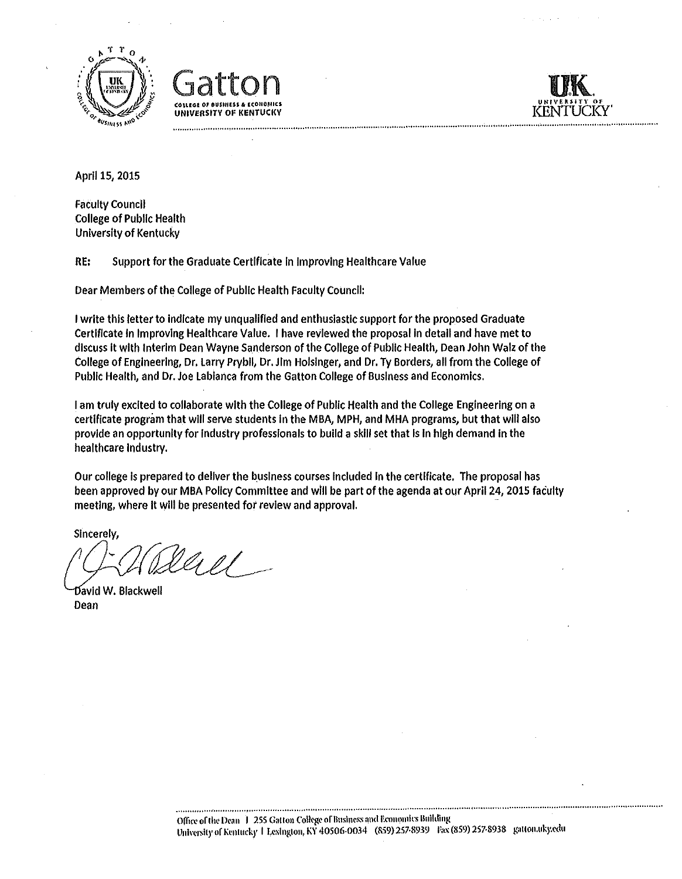





Aprll 15, 2015

Faculty Council College of Public Health University of Kentucky

RE: Support for the Graduate Certificate In Improving Healthcare Value

Dear Members of the College of Public Health Faculty Council:

I write this letter to Indicate my unqualified and enthusiastic support for the proposed Graduate Certificate In Improving Healthcare Value. I have reviewed the proposal In detail and have met to discuss It with Interim Dean Wayne Sanderson of the College of Publlc Health, Dean John Walz of the College of Engineering, Dr, Larry Prybll, Dr. Jim Holsinger, and Dr. Ty Borders, all from the College of Public Health, and Dr. Joe Labianca from the Gatton College of Business and Economics.

I am truly excited to collaborate with the College of Public Health and the College Engineering on a certificate program that wlll serve students In the MBA, MPH, and MHA programs, but that wlll also provide an opportunity for Industry professionals to build a skill set that is in high demand in the healthcare Industry.

Our college is prepared to deliver the business courses included in the certificate. The proposal has been approved by our MBA Polley Committee and wlll be part of the agenda at our Aprll 24, 2015 faculty meeting, where it will be presented for review and approval.

Sincerely,

lliel -

David W. Blackwell Dean

..............................................................................................................................................................................................................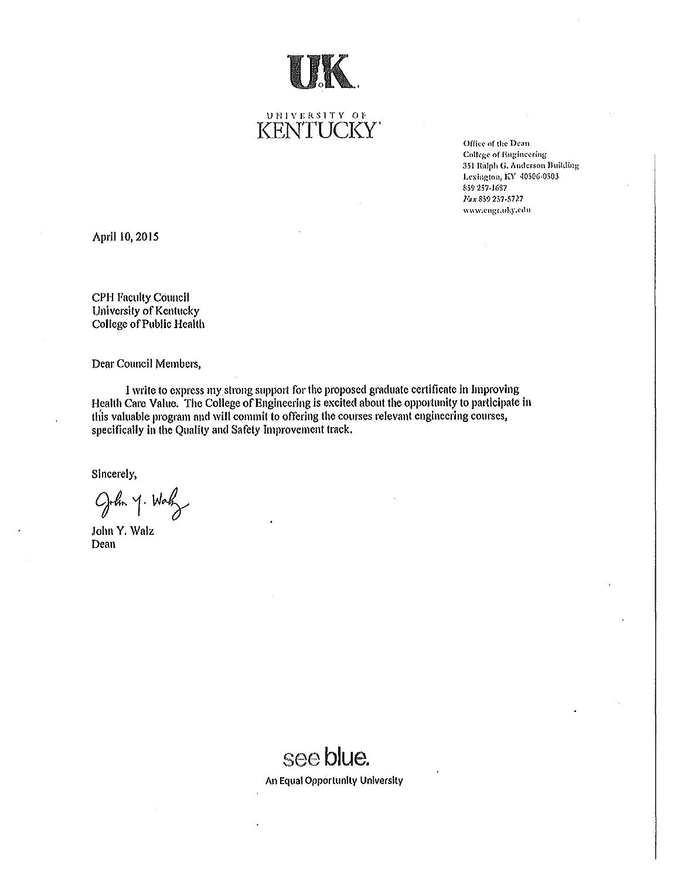

**UNIVERSITY 01;**  I<ENTUCI<Y'

**Office of the Dean Colkgc- of E11g:ineering**  351 Ralph G. Anderson Building Lexington, KY 40506-0503 **859 257-J6S7 J•ax 859 251-5727 WW\\',c11gr.uky.t·1lu** 

April 10,2015

CPH Faculty Council University of Kentucky College of Public Health

Dear Council Members,

l write to express my strong support for the proposed graduate certificate in Improving Health Care Value. The College of Engineering is excited about the opportunity to participate in this valuable program and will commit to offering the courses relevant engineering courses, specifically in the Quality and Safety Improvement track.

Sincerely,

John y. Way

John Y. Walz Dean

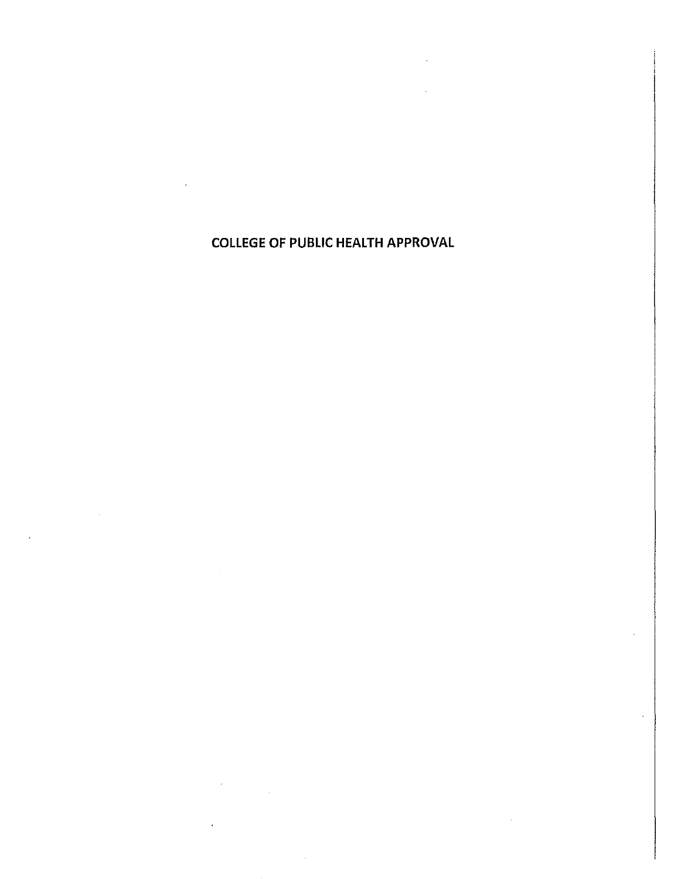COLLEGE OF PUBLIC HEALTH APPROVAL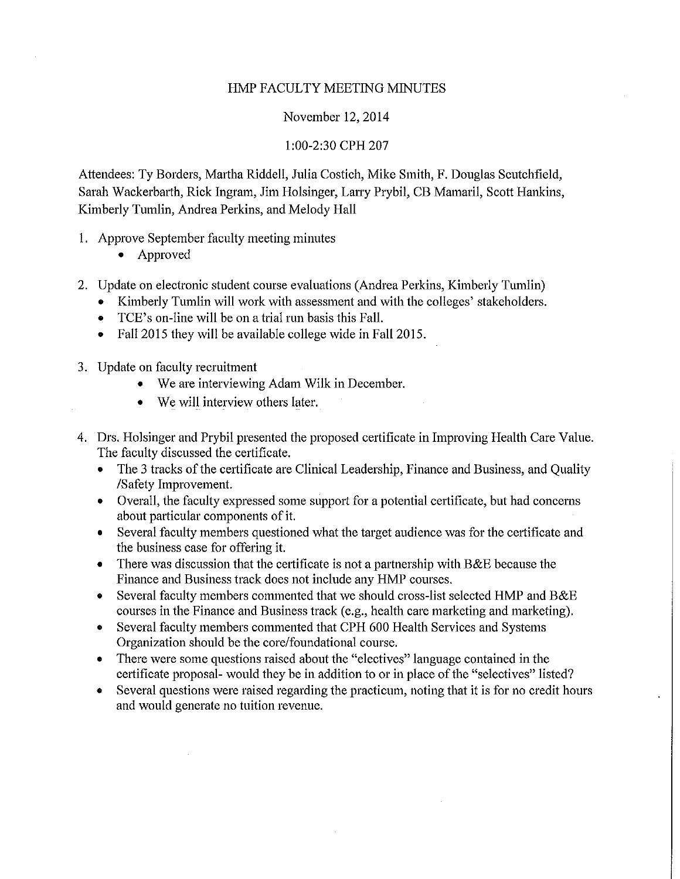#### HMP FACULTY MEETING MINUTES

#### November 12, 2014

#### 1:00-2:30 CPH 207

Attendees: Ty Borders, Martha Riddell, Julia Costich, Mike Smith, F. Douglas Scutchfield, Sarah Wackerbatih, Rick Ingram, Jim Holsinger, Larry Prybil, CB Mamaril, Scott Hankins, Kimberly Tumlin, Andrea Perkins, and Melody Hall

- 1. Approve September faculty meeting minutes
	- Approved
- 2. Update on electronic student course evaluations (Andrea Perkins, Kimberly Tumlin)
	- Kimberly Tumlin will work with assessment and with the colleges' stakeholders.
	- TCE's on-line will be on a trial run basis this Fall.
	- Fall 2015 they will be available college wide in Fall 2015.
- 3. Update on faculty recruitment
	- We are interviewing Adam Wilk in December.
	- We will interview others later.
- 4. Drs. Holsinger and Prybil presented the proposed certificate in Improving Health Care Value. The faculty discussed the certificate.
	- The 3 tracks of the certificate are Clinical Leadership, Finance and Business, and Quality /Safety Improvement.
	- Overall, the faculty expressed some support for a potential certificate, but had concerns about particular components of it.
	- Several faculty members questioned what the target audience was for the certificate and the business case for offering it.
	- There was discussion that the certificate is not a partnership with B&E because the Finance and Business track does not include any HMP courses.
	- Several faculty members commented that we should cross-list selected HMP and B&E courses in the Finance and Business track (e.g., health care marketing and marketing).
	- Several faculty members commented that CPH 600 Health Services and Systems Organization should be the core/foundational course.
	- There were some questions raised about the "electives" language contained in the certificate proposal- would they be in addition to or in place of the "selectives" listed?
	- Several questions were raised regarding the practicum, noting that it is for no credit hours and would generate no tuition revenue.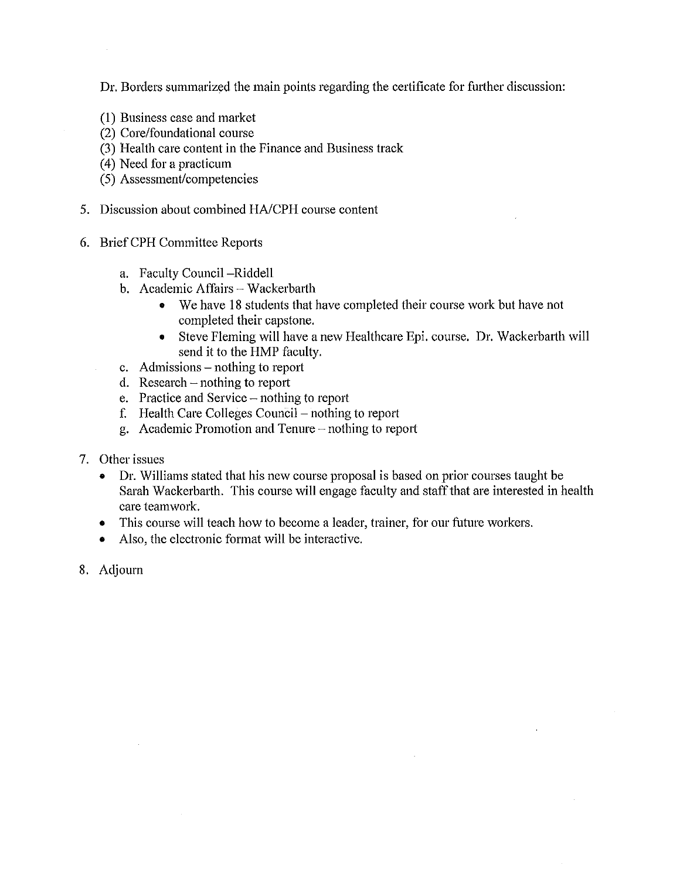Dr. Borders summarized the main points regarding the certificate for further discussion:

- (1) Business case and market
- (2) Core/foundational course
- (3) Health care content in the Finance and Business track
- (4) Need for a practicum
- (5) Assessment/competencies
- 5. Discussion about combined HA/CPH course content
- 6. BriefCPH Committee Repotis
	- a. Faculty Council -Riddell
	- b. Academic Affairs Wackerbarth
		- We have 18 students that have completed their course work but have not completed their capstone.
		- Steve Fleming will have a new Healthcare Epi. course. Dr. Wackerbatih will send it to the HMP faculty.
	- c. Admissions nothing to report
	- d. Research  $-$  nothing to report
	- e. Practice and Service nothing to report
	- f. Health Care Colleges Council nothing to report
	- g. Academic Promotion and Tenure  $-$  nothing to report
- 7. Other issues
	- Dr. Williams stated that his new course proposal is based on prior courses taught be Sarah Wackerbarth. This course will engage faculty and staff that are interested in health care teamwork.
	- This course will teach how to become a leader, trainer, for our future workers.
	- Also, the electronic format will be interactive.
- 8. Adjourn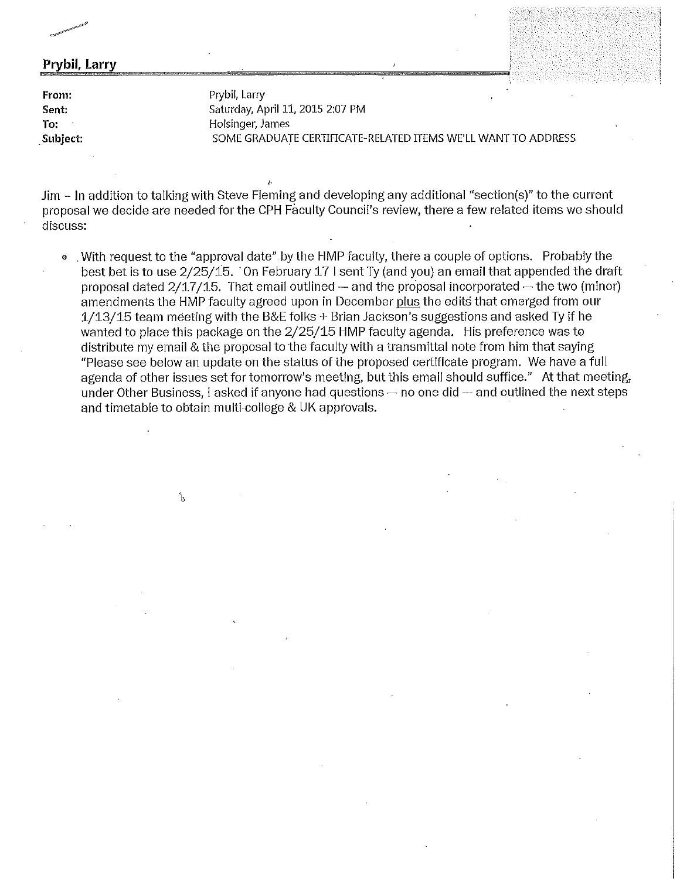#### **Prybil, Larry**

**From:**  Sent: **To:**  \_Subject: Prybil, Larry Saturday, April 11, 2015 2:07 PM Holsinger, James SOME GRADUATE CERTIFICATE-RELATED ITEMS WE'LL WANT TO ADDRESS

Jim - Jn addition to talking with Steve Fleming and developing any additional "section(s)" to the current proposal we decide are needed for the CPH Faculty Council's review, there a few related items we should discuss:

,.

 $\mathbf{A}$ 

• With request to the "approval date" by the HMP faculty, there a couple of options. Probably the best bet is to use 2/25/15. On February 17 I sent Ty (and you) an email that appended the draft proposal dated  $2/17/15$ . That email outlined -- and the proposal incorporated -- the two (minor) amendments the HMP faculty agreed upon in December plus the edits that emerged from our  $1/13/15$  team meeting with the B&E folks + Brian Jackson's suggestions and asked Ty if he wanted to place this package on the 2/25/15 HMP faculty agenda. His preference was to distribute my email & the proposal to the faculty with a transmittal note from him that saying "Please see below an update on the status of the proposed certificate program. We have a full agenda of other issues set for tomorrow's meeting, but this email should suffice." At that meeting, under Other Business, I asked if anyone had questions -- no one did --- and outlined the next steps and timetable to obtain multi-college & UK approvals.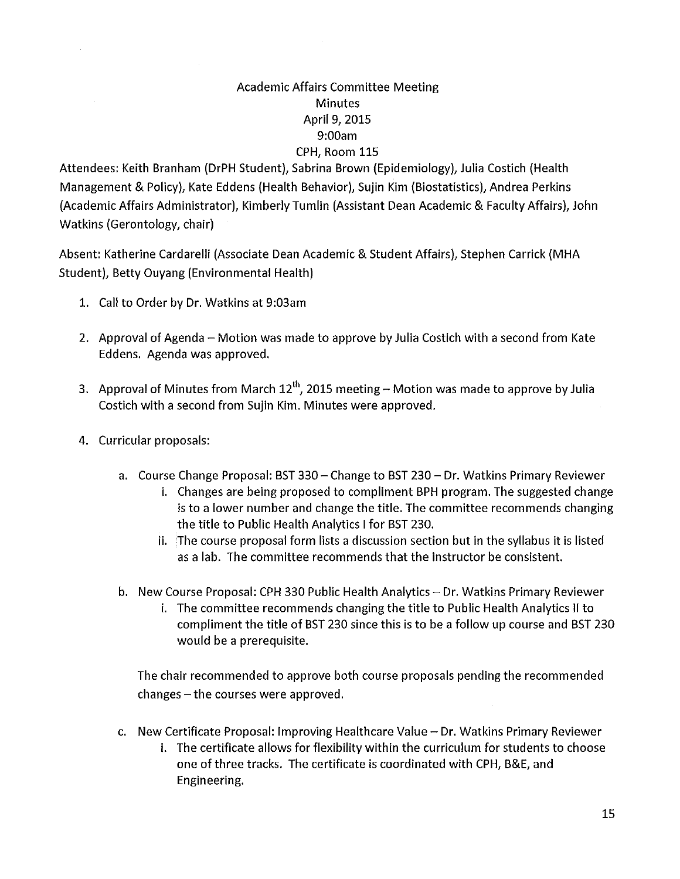### Academic Affairs Committee Meeting Minutes April 9, 2015 9:00am CPH, Room 115

Attendees: Keith Branham (DrPH Student), Sabrina Brown (Epidemiology), Julia Costich (Health Management & Policy), Kate Eddens (Health Behavior), Sujin Kim (Biostatistics), Andrea Perkins (Academic Affairs Administrator), Kimberly Tumlin (Assistant Dean Academic & Faculty Affairs), John Watkins (Gerontology, chair)

Absent: Katherine Cardarelli (Associate Dean Academic & Student Affairs), Stephen Carrick (MHA Student), Betty Ouyang (Environmental Health)

- 1. Call to Order by Dr. Watkins at 9:03am
- 2. Approval of Agenda Motion was made to approve by Julia Costich with a second from Kate Eddens. Agenda was approved.
- 3. Approval of Minutes from March  $12<sup>th</sup>$ , 2015 meeting Motion was made to approve by Julia Costich with a second from Sujin Kim. Minutes were approved.
- 4. Curricular proposals:
	- a. Course Change Proposal: BST 330 Change to BST 230 Dr. Watkins Primary Reviewer
		- i. Changes are being proposed to compliment BPH program. The suggested change is to a lower number and change the title. The committee recommends changing the title to Public Health Analytics I for BST 230.
		- ii. The course proposal form lists a discussion section but in the syllabus it is listed as a lab. The committee recommends that the instructor be consistent.
	- b. New Course Proposal: CPH 330 Public Health Analytics Dr. Watkins Primary Reviewer
		- i. The committee recommends changing the title to Public Health Analytics II to compliment the title of BST 230 since this is to be a follow up course and BST 230 would be a prerequisite.

The chair recommended to approve both course proposals pending the recommended  $changes - the courses were approved.$ 

- c. New Certificate Proposal: Improving Healthcare Value Dr. Watkins Primary Reviewer
	- i. The certificate allows for flexibility within the curriculum for students to choose one of three tracks. The certificate is coordinated with CPH, B&E, and Engineering.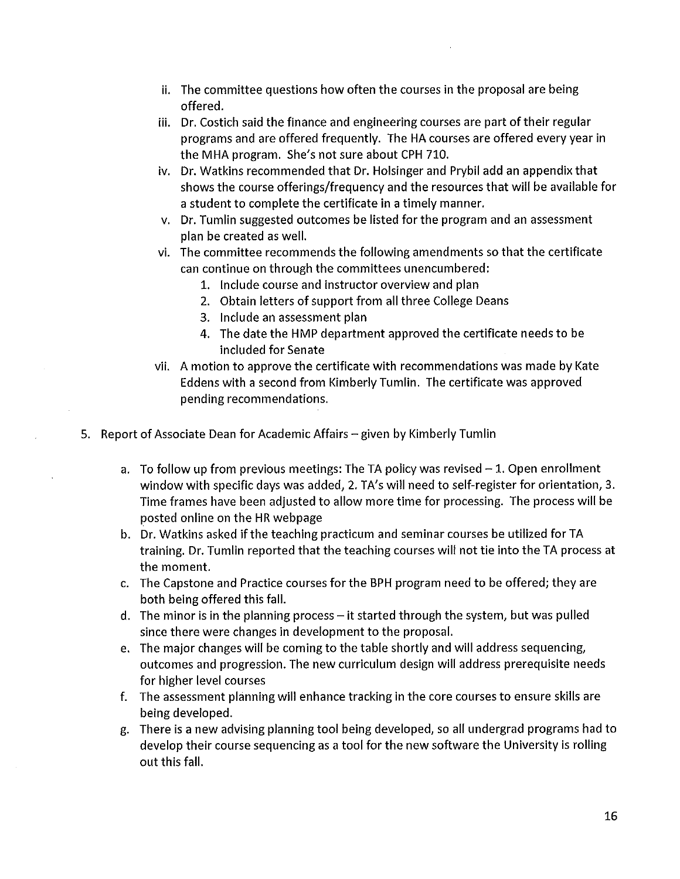- ii. The committee questions how often the courses in the proposal are being offered.
- iii. Dr. Costich said the finance and engineering courses are part of their regular programs and are offered frequently. The HA courses are offered every year in the MHA program. She's not sure about CPH 710.
- iv. Dr. Watkins recommended that Dr. Holsinger and Prybil add an appendix that shows the course offerings/frequency and the resources that will be available for a student to complete the certificate in a timely manner.
- v. Dr. Tumlin suggested outcomes be listed for the program and an assessment plan be created as well.
- vi. The committee recommends the following amendments so that the certificate can continue on through the committees unencumbered:
	- 1. Include course and instructor overview and plan
	- 2. Obtain letters of support from all three College Deans
	- 3. Include an assessment plan
	- 4. The date the HMP department approved the certificate needs to be included for Senate
- vii. A motion to approve the certificate with recommendations was made by Kate Eddens with a second from Kimberly Tumlin. The certificate was approved pending recommendations.
- 5. Report of Associate Dean for Academic Affairs given by Kimberly Tumlin
	- a. To follow up from previous meetings: The TA policy was revised  $-1$ . Open enrollment window with specific days was added, 2. TA's will need to self-register for orientation, 3. Time frames have been adjusted to allow more time for processing. The process will be posted online on the HR webpage
	- b. Dr. Watkins asked ifthe teaching practicum and seminar courses be utilized for TA training. Dr. Tumlin reported that the teaching courses will not tie into the TA process at the moment.
	- c. The Capstone and Practice courses for the BPH program need to be offered; they are both being offered this fall.
	- d. The minor is in the planning process  $-$  it started through the system, but was pulled since there were changes in development to the proposal.
	- e. The major changes will be coming to the table shortly and will address sequencing, outcomes and progression. The new curriculum design will address prerequisite needs for higher level courses
	- f. The assessment planning will enhance tracking in the core courses to ensure skills are being developed.
	- g. There is a new advising planning tool being developed, so all undergrad programs had to develop their course sequencing as a tool for the new software the University is rolling out this fall.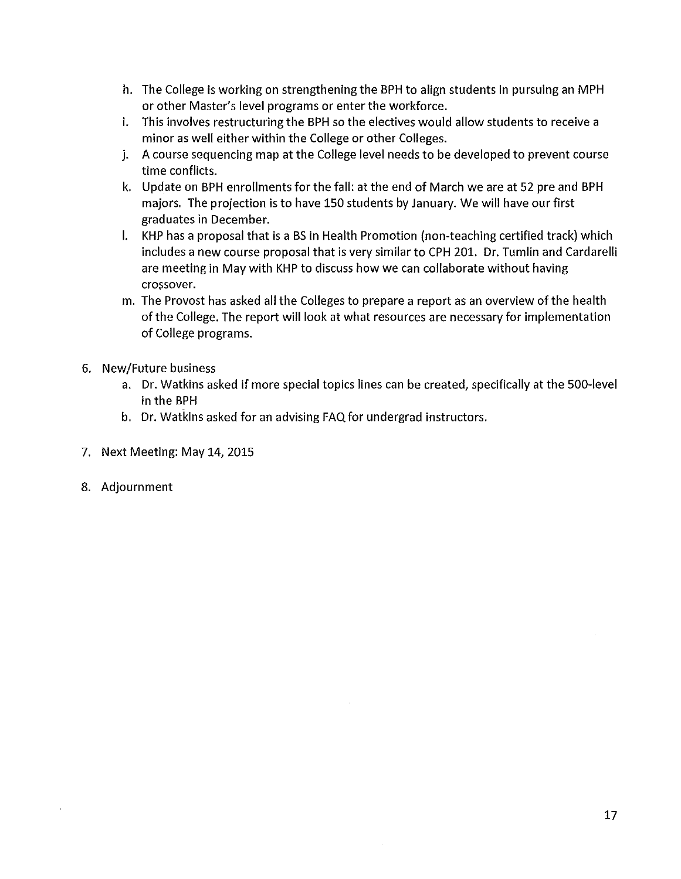- h. The College is working on strengthening the BPH to align students in pursuing an MPH or other Master's level programs or enter the workforce.
- i. This involves restructuring the BPH so the electives would allow students to receive a minor as well either within the College or other Colleges.
- j. A course sequencing map at the College level needs to be developed to prevent course time conflicts.
- k. Update on BPH enrollments for the fall: at the end of March we are at 52 pre and BPH majors. The projection is to have 150 students by January. We will have our first graduates in December.
- I. KHP has a proposal that is a BS in Health Promotion (non-teaching certified track) which includes a new course proposal that is very similar to CPH 201. Dr. Tumlin and Cardarelli are meeting in May with KHP to discuss how we can collaborate without having crossover.
- m. The Provost has asked all the Colleges to prepare a report as an overview of the health of the College. The report will look at what resources are necessary for implementation of College programs.
- 6. New/Future business
	- a. Dr. Watkins asked if more special topics lines can be created, specifically at the 500-level in the BPH
	- b. Dr. Watkins asked for an advising FAQ for undergrad instructors.
- 7. Next Meeting: May 14, 2015
- 8. Adjournment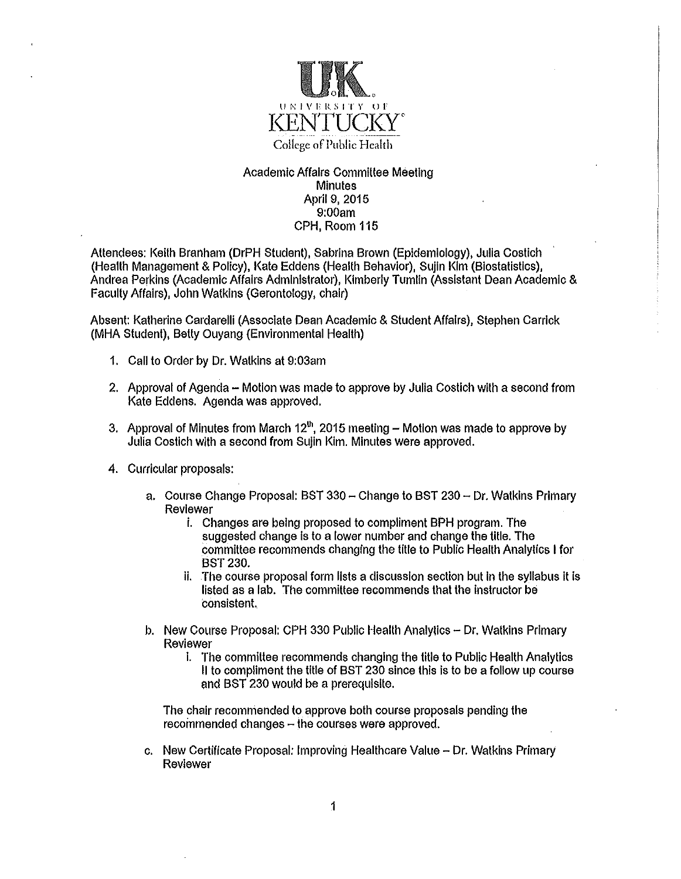

#### Academic Affairs Committee Meeting **Minutes** April 9, 2015 9:00am CPH, Room 115

Attendees: Keith Branham (DrPH Student), Sabrina Brown (Epidemiology), Julia Costich (Health Management & Policy), Kate Eddens (Health Behavior), Sujin Kim (Biostatistics), Andrea Perkins (Academic Affairs Administrator), Kimberly Tumlin (Assistant Dean Academic & Faculty Affairs), John Watkins (Gerontology, chair)

Absent: Katherine Cardarelli (Associate Dean Academic & Student Affairs), Stephen Carrick (MHA Student), Betty Ouyang (Environmental Health)

- 1. Call to Order by Dr. Watkins al 9:03am
- 2. Approval of Agenda Motion was made to approve by Julia Costich with a second from Kate Eddens. Agenda was approved.
- 3. Approval of Minutes from March  $12<sup>th</sup>$ , 2015 meeting Motion was made to approve by Julia Costich with a second from Sulin Kim. Minutes were approved.
- 4. Curricular proposals:
	- a. Course Change Proposal: BST 330 Change to BST 230 Dr. Watkins Primary Reviewer
		- i. Changes are being proposed to compliment BPH program. The suggested change is to a lower number and change the title. The committee recommends changing the title to Public Health Analytics I for BST230.
		- ii. The course proposal form lists a discussion section but In the syllabus it Is listed as a lab. The committee recommends that the Instructor be consistent.
	- b. New Course Proposal: CPH 330 Public Health Analytics Dr. Watkins Primary Reviewer
		- I. The committee recommends changing the title to Public Health Analytics 11 to compliment the title of BST 230 since this Is to be a follow up course and BST 230 would be a prerequisite.

The chair recommended to approve both course proposals pending the  $recommended changes - the courses were approved.$ 

c. New Certificate Proposal: Improving Healthcare Value - Dr. Watkins Primary Reviewer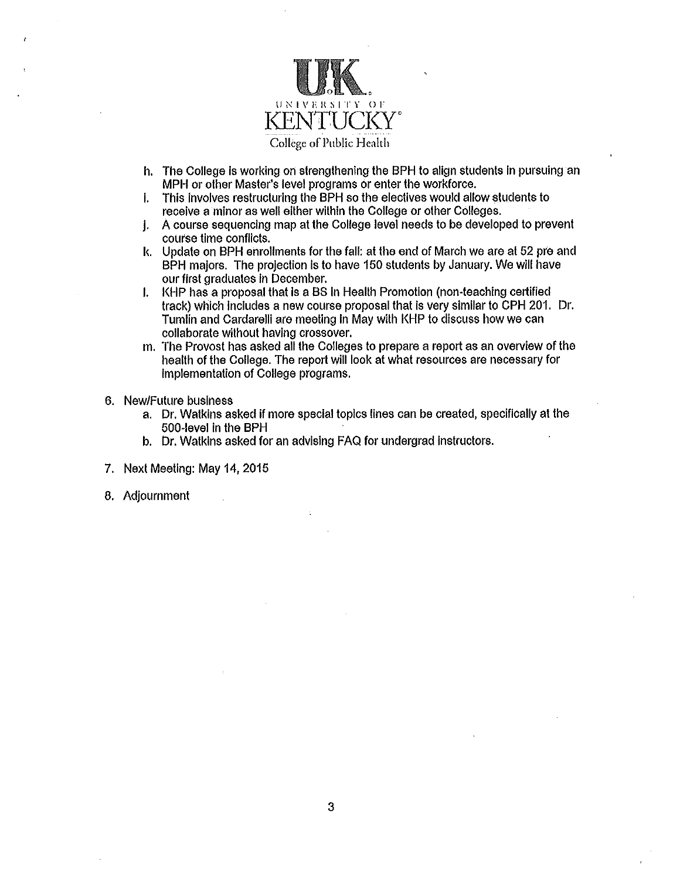

- h. The College Is working on strengthening the BPH to align students In pursuing an MPH or other Master's level programs or enter the workforce.
- I. This involves restructuring the BPH so the electives would allow students to receive a minor as well either within the College or other Colleges.
- j. A course sequencing map at the College level needs to be developed to prevent course time conflicts.
- k. Update on BPH enrollments for the fall: at the end of March we are at 52 pre and BPH majors. The projection Is to have 150 students by January. We will have our first graduates In December.
- I. KHP has a proposal that is a BS in Health Promotion (non-teaching certified track) which Includes a new course proposal that Is very similar to CPH 201. Dr. Tumlin and Cardarelli are meeting in May with KHP to discuss how we can collaborate without having crossover.
- m. The Provost has asked all the Colleges to prepare a report as an overview of the health of the College. The report will look at what resources are necessary for Implementation of College programs.
- 6. New/Future business
	- a. Dr. Watkins asked if more special topics lines can be created, specifically at the 500-level in the BPH
	- b. Dr. Watkins asked for an advising FAQ for undergrad Instructors.
- 7. Next Meeting: May 14, 2015
- 8. Adjournment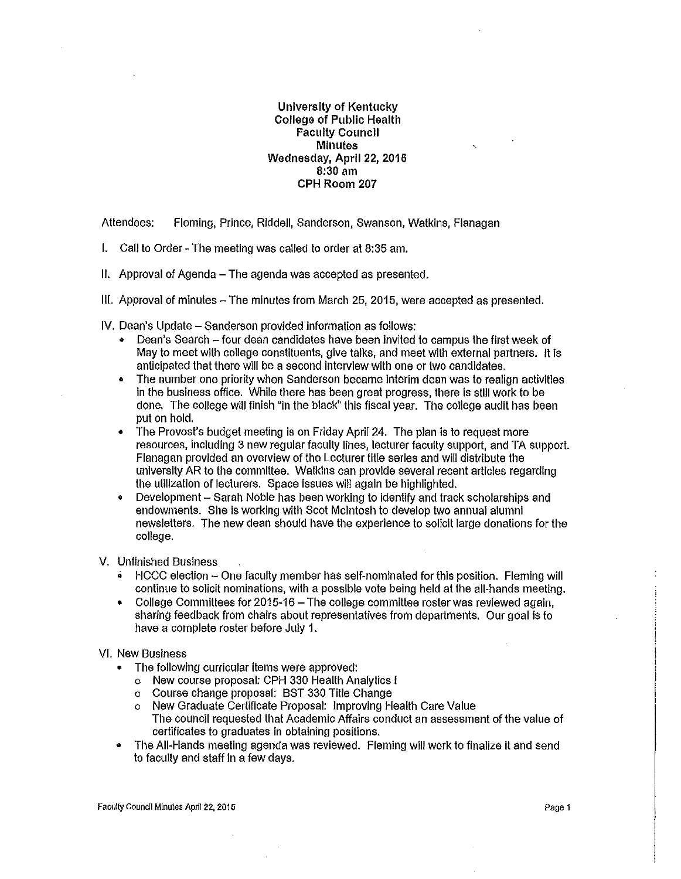#### University of Kentucky College of Public Health Faculty Councll Minutes Wednesday, April 22, 2016 8:30 am CPH Room 207

Attendees: Fleming, Prince, Riddell, Sanderson, Swanson, Watkins, Flanagan

- I. Call to Order The meeting was called to order at 8:35 am.
- II. Approval of Agenda The agenda was accepted as presented.
- Ill. Approval of minutes The minutes from March 25, 2015, were accepted as presented.

IV. Dean's Update - Sanderson provided information as follows:

- Dean's Search four dean candidates have been Invited to campus the first week of May to meet with college constituents, give talks, and meet with external partners. It is anticipated that there will be a second interview with one or two candidates.
- The number one priority when Sanderson became Interim dean was to realign activities in the business office. Whlle there has been great progress, there Is still work to be done. The college will finish "in the black" this fiscal year. The college audit has been put on hold.
- The Provost's budget meeting is on Friday April 24. The plan is to request more resources, including 3 new regular faculty lines, lecturer faculty support, and TA support. Flanagan provided an overview of the Lecturer title series and will distribute the university AR to the committee. Watkins can provide several recent articles regarding the utilization of lecturers. Space issues will again be highlighted.
- Development Sarah Noble has been working to identify and track scholarships and endowments. She is working with Scot Mcintosh to develop two annual alumni newsletters. The new dean should have the experience to solicit large donations for the college.

V. Unfinished Business

- HCCC election One faculty member has self-nominated for this position. Fleming will continue to solicit nominations, with a possible vote being held at the all-hands meeting.
- College Committees for 2015-16 The college committee roster was reviewed again, sharing feedback from chairs about representatives from departments. Our goal is to have a complete roster before July 1.

#### VI. New Business

- The following curricular items were approved:
	- o New course proposal: CPH 330 Health Analytics I
	- o Course change proposal: BST 330 Title Change
	- o New Graduate Certificate Proposal: Improving Health Care Value The council requested that Academic Affairs conduct an assessment of the value of certificates to graduates in obtaining positions.
- The All-Hands meeting agenda was reviewed. Fleming will work to finalize it and send to faculty and staff in a few days.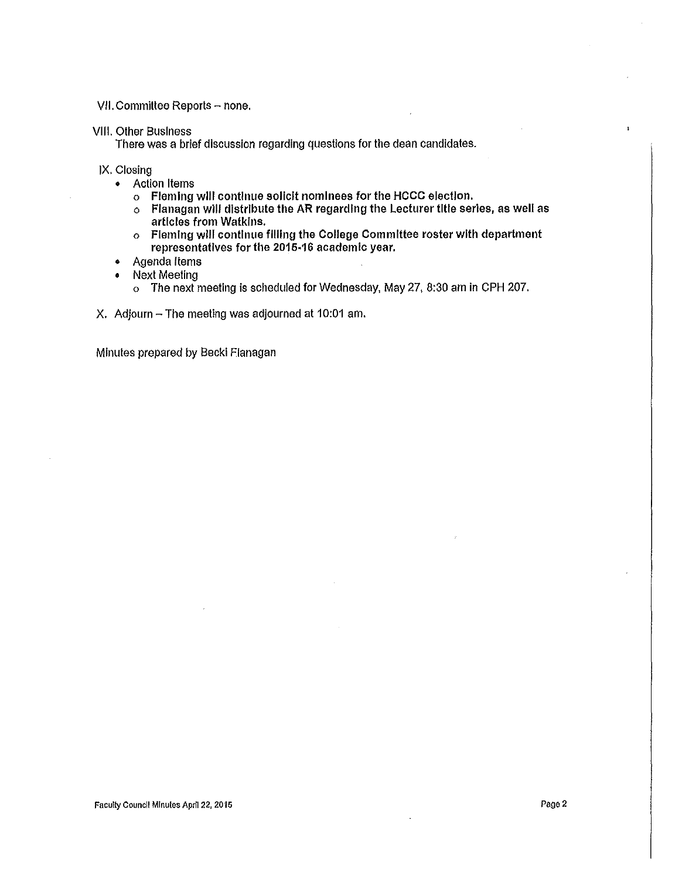VII. Committee Reports - none.

#### VIII. Other Business

There was a brief discussion regarding questions for the dean candidates.

IX. Closing

- Action Items
	- o Fleming will continue solicit nominees for the HCCC election.
	- $\circ$  Flanagan will distribute the AR regarding the Lecturer title series, as well as articles from Watkins.
	- o Fleming will continue filling the College Committee roster with department representatives for the 2015·16 academic year.
- Agenda Items
- Next Meeting
	- o The next meeting is scheduled for Wednesday, May 27, 8:30 am in CPH 207.
- X. Adjourn The meeting was adjourned at 10:01 am.

Minutes prepared by Becki Flanagan

 $\mathbf{i}$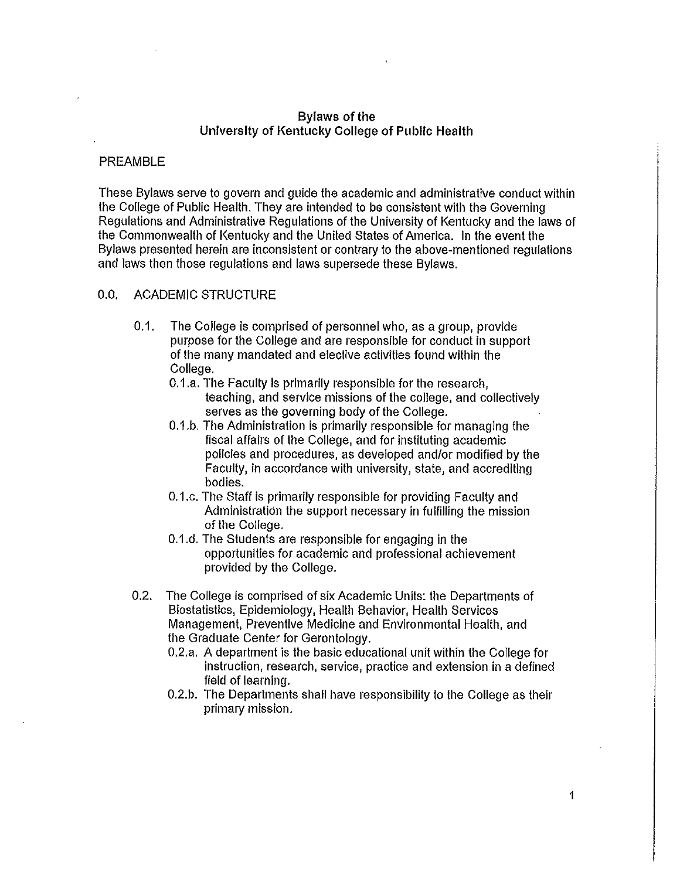#### Bylaws of the University of Kentucky College of Public Health

#### PREAMBLE

These Bylaws serve to govern and guide the academic and administrative conduct within the College of Public Health. They are intended to be consistent with the Governing Regulations and Administrative Regulations of the University of Kentucky and the laws of the Commonwealth of Kentucky and the United States of America. In the event the Bylaws presented herein are inconsistent or contrary to the above-mentioned regulations and laws then those regulations and laws supersede these Bylaws.

#### 0.0. ACADEMIC STRUCTURE

- 0.1. The College is comprised of personnel who, as a group, provide purpose for the College and are responsible for conduct in support of the many mandated and elective activities found within the College.
	- 0.1.a. The Faculty is primarily responsible for the research, teaching, and service missions of the college, and collectively serves as the governing body of the College.
	- 0.1.b. The Administration is primarily responsible for managing the fiscal affairs of the College, and for instituting academic policies and procedures, as developed and/or modified by the Faculty, In accordance with university, state, and accrediting bodies.
	- 0.1.c. The Staff is primarily responsible for providing Faculty and Administration the support necessary in fulfilling the mission of the College.
	- 0.1.d. The Students are responsible for engaging in the opportunities for academic and professional achievement provided by the College.
- 0.2. The College is comprised of six Academic Units: the Departments of Biostatistics, Epidemiology, Health Behavior, Health Services Management, Preventive Medicine and Environmental Health, and the Graduate Center for Gerontology.
	- 0.2.a. A department is the basic educational unit within the College for instruction, research, service, practice and extension in a defined field of learning.
	- 0.2.b. The Departments shall have responsibility to the College as their primary mission.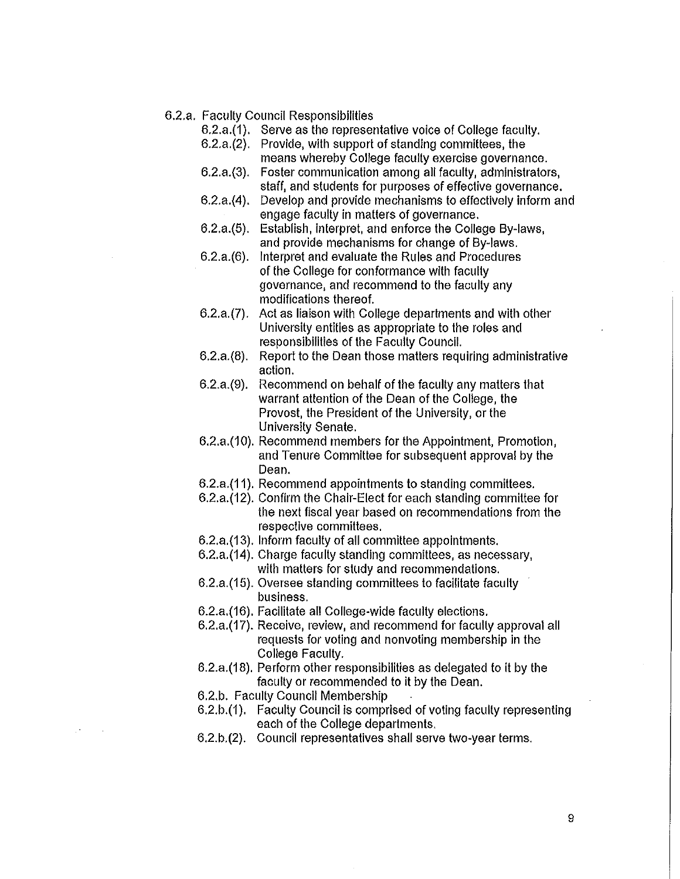- 6.2.a. Faculty Council Responsibilities
	- 6.2.a.(1). Serve as the representative voice of College faculty.
	- 6.2.a.(2). Provide, with support of standing committees, the means whereby College faculty exercise governance.
	- 6.2.a.(3). Foster communication among all faculty, administrators, staff, and students for purposes of effective governance.
	- 6.2.a.(4). Develop and provide mechanisms to effectively inform and engage faculty in matters of governance.
	- 6.2.a.(5). Establish, interpret, and enforce the College By-laws, and provide mechanisms for change of By-laws.
	- 6.2.a.(6). Interpret and evaluate the Rules and Procedures of the College for conformance with faculty governance, and recommend to the faculty any modifications thereof.
	- 6.2.a.(7). Act as liaison with College departments and with other University entities as appropriate to the roles and responsibilities of the Faculty Council.
	- 6.2.a.(8). Report to the Dean those matters requiring administrative action.
	- 6.2.a.(9). Recommend on behalf of the faculty any matters that warrant attention of the Dean of the College, the Provost, the President of the University, or the University Senate.
	- 6.2.a.(10). Recommend members for the Appointment, Promotion, and Tenure Committee for subsequent approval by the Dean.
	- 6.2.a.(11 ). Recommend appointments to standing committees.
	- 6.2.a.(12). Confirm the Chair-Elect for each standing committee for the next fiscal year based on recommendations from the respective committees.
	- 6.2.a.(13). Inform faculty of all committee appointments.
	- 6.2.a.(14). Charge faculty standing committees, as necessary, with matters for study and recommendations.
	- 6.2.a.(15). Oversee standing committees to facilitate faculty business.
	- 6.2.a.(16). Facilitate all College-wide faculty elections.
	- 6.2.a.(17). Receive, review, and recommend for faculty approval all requests for voting and nonvoting membership in the College Faculty.
	- 6.2.a.(18). Perform other responsibilities as delegated to it by the faculty or recommended to it by the Dean.
	- 6.2.b. Faculty Council Membership
	- 6.2.b.(1). Faculty Council is comprised of voting faculty representing each of the College departments.
	- 6.2.b.(2). Council representatives shall serve two-year terms.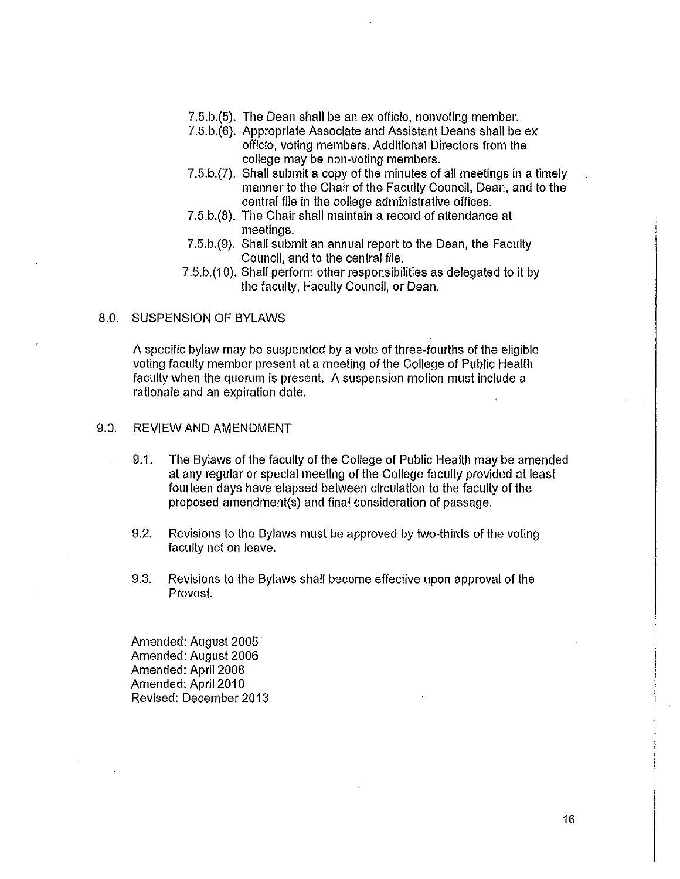- 7.5.b.(5). The Dean shall be an ex officio, nonvoting member.
- 7.5.b.(6). Appropriate Associate and Assistant Deans shall be ex officio, voting members. Additional Directors from the college may be non-voting members.
- 7.5.b.(7). Shall submit a copy of the minutes of all meetings in a timely manner to the Chair of the Faculty Council, Dean, and to the central file in the college administrative offices.
- 7.5.b.(8). The Chair shall maintain a record of attendance at meetings.
- 7.5.b.(9). Shall submit an annual report to the Dean, the Faculty Council, and to the central file.
- 7.5.b.(10). Shall perform other responsibilities as delegated to it by the faculty, Faculty Council, or Dean.

#### 8.0. SUSPENSION OF BYLAWS

A specific bylaw may be suspended by a vote of three-fourths of the eligible voting faculty member present at a meeting of the College of Public Health faculty when the quorum is present. A suspension motion must include a rationale and an expiration date.

#### 9.0. REVIEW AND AMENDMENT

- 9.1. The Bylaws of the faculty of the College of Public Health may be amended at any regular or special meeting of the College faculty provided at least fourteen days have elapsed between circulation to the faculty of the proposed arnendrnent(s) and final consideration of passage.
- 9.2. Revisions to the Bylaws must be approved by two-thirds of the voting faculty not on leave.
- 9.3. Revisions to the Bylaws shall become effective upon approval of the Provost.

Amended: August 2005 Amended: August 2006 Amended: April 2008 Amended: April 2010 Revised: December 2013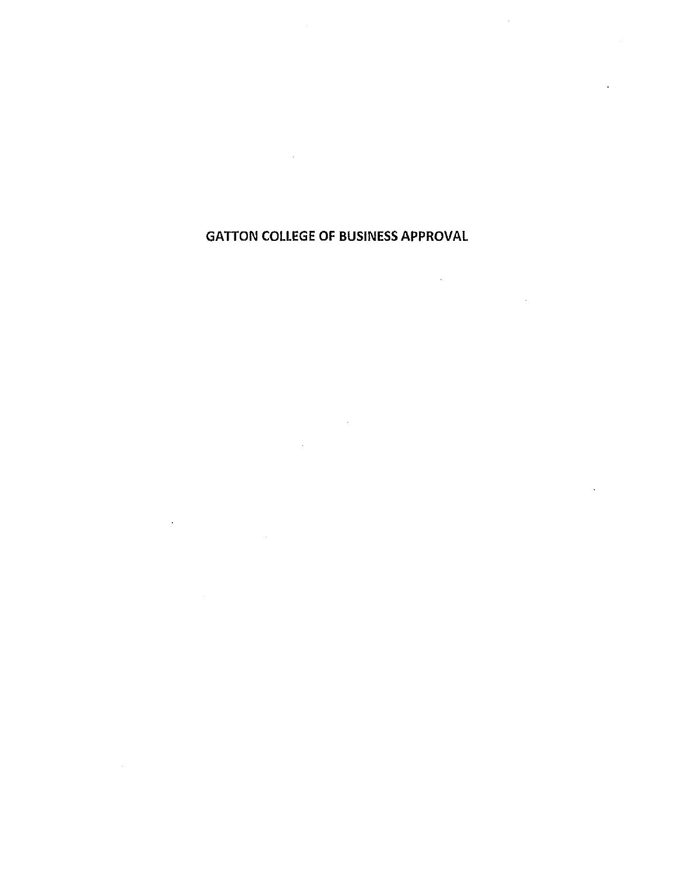# GATTON COLLEGE OF BUSINESS APPROVAL

 $\sim 10$ 

 $\mathcal{L}^{\text{max}}_{\text{max}}$  and  $\mathcal{L}^{\text{max}}_{\text{max}}$  $\sim 10^{11}$  km  $^{-1}$ 

 $\hat{\mathcal{A}}$ 

 $\mathcal{L}^{\text{max}}_{\text{max}}$  $\sim 10^{-1}$ 

 $\sim$  $\sim$   $\sim$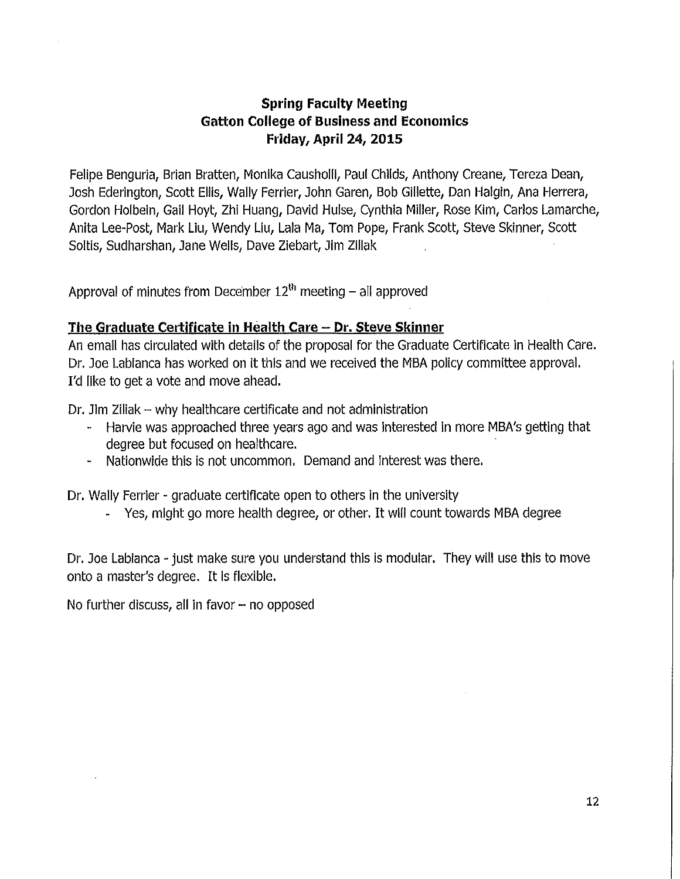## **Spring Faculty Meeting Gatton College of Business and Economics Friday, April 24, 2015**

Felipe Benguria, Brian Bratten, Monika Causholll, Paul Childs, Anthony Creane, Tereza Dean, Josh Ederington, Scott Ellis, Wally Ferrier, John Garen, Bob Gillette, Dan Halgin, Ana Herrera, Gordon Holbein, Gail Hoyt, Zhi Huang, David Hulse, Cynthia Miller, Rose Kim, Carlos Lamarche, Anita Lee-Post, Mark Liu, Wendy Liu, Lala Ma, Tom Pope, Frank Scott, Steve Skinner, Scott Soltis, Sudharshan, Jane Wells, Dave Ziebart, Jim Zlllak

Approval of minutes from December  $12<sup>th</sup>$  meeting - all approved

### **The Graduate Certificate in Health Care - Dr. Steve Skinner**

An email has circulated with details of the proposal for the Graduate Certificate in Health Care. Dr. Joe Labianca has worked on it this and we received the MBA policy committee approval. I'd like to get a vote and move ahead.

Dr. Jim Ziliak - why healthcare certificate and not administration

- Harvie was approached three years ago and was Interested in more MBA's getting that degree but focused on healthcare.
- Nationwide this is not uncommon. Demand and interest was there.

Dr. Wally Ferrier - graduate certificate open to others In the university

- Yes, might go more health degree, or other. It will count towards MBA degree

Dr. Joe Labianca - just make sure you understand this is modular. They will use this to move onto a master's degree. It is flexible.

No further discuss, all in favor  $-$  no opposed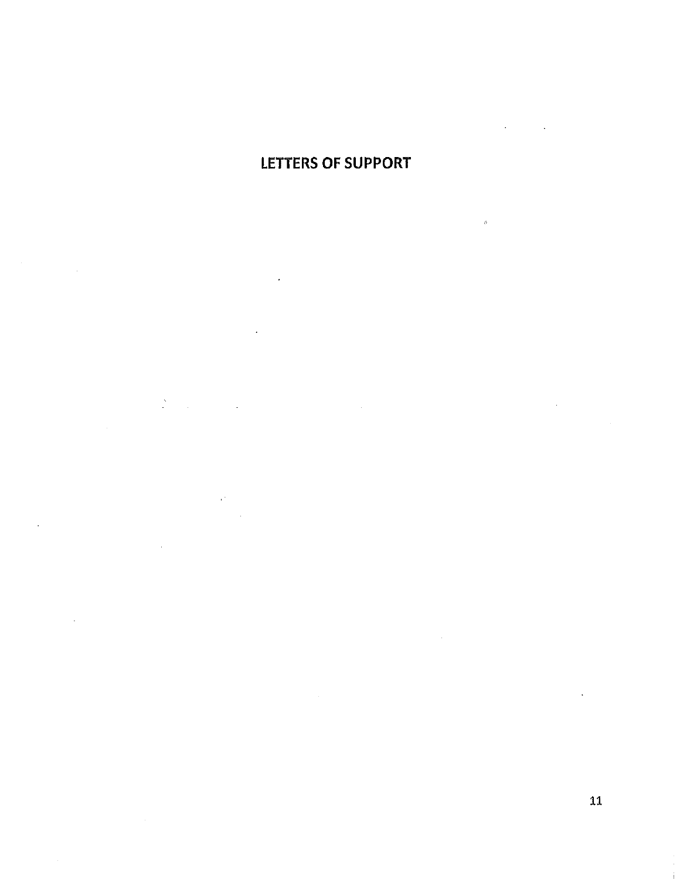# LETTERS OF SUPPORT

 $\hat{\sigma}$ 

 $\frac{1}{2}$  $\ddot{\phantom{a}}$  $\mathbb{R}^2$ 

 $\bar{1}$ 

 $\mathcal{A}$ 

11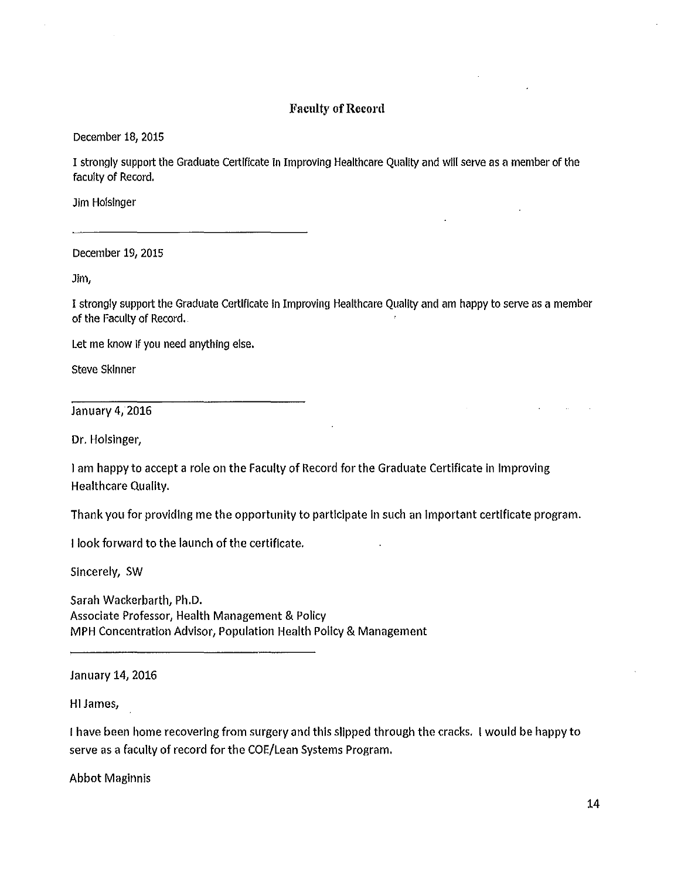#### Faculty of Record

December 18, 2015

I strongly support the Graduate Certificate in Improving Healthcare Quality and will serve as a member of the faculty of Record.

Jim Holsinger

December 19, 2015

Jim,

I strongly support the Graduate Certificate In Improving Healthcare Quality and am happy to serve as a member of the Faculty of Record.

Let me know If you need anything else.

Steve Skinner

January 4, 2016

Dr. Holsinger,

I am happy to accept a role on the Faculty of Record for the Graduate Certificate In Improving Healthcare Quality.

Thank you for providing me the opportunity to participate in such an Important certificate program.

I look forward to the launch of the certificate.

Sincerely, SW

Sarah Wackerbarth, Ph.D. Associate Professor, Health Management & Policy MPH Concentration Advisor, Population Health Policy & Management

January 14, 2016

HI James,

I have been home recovering from surgery and this slipped through the cracks. I would be happy to serve as a faculty of record for the COE/Lean Systems Program.

Abbot Maginnis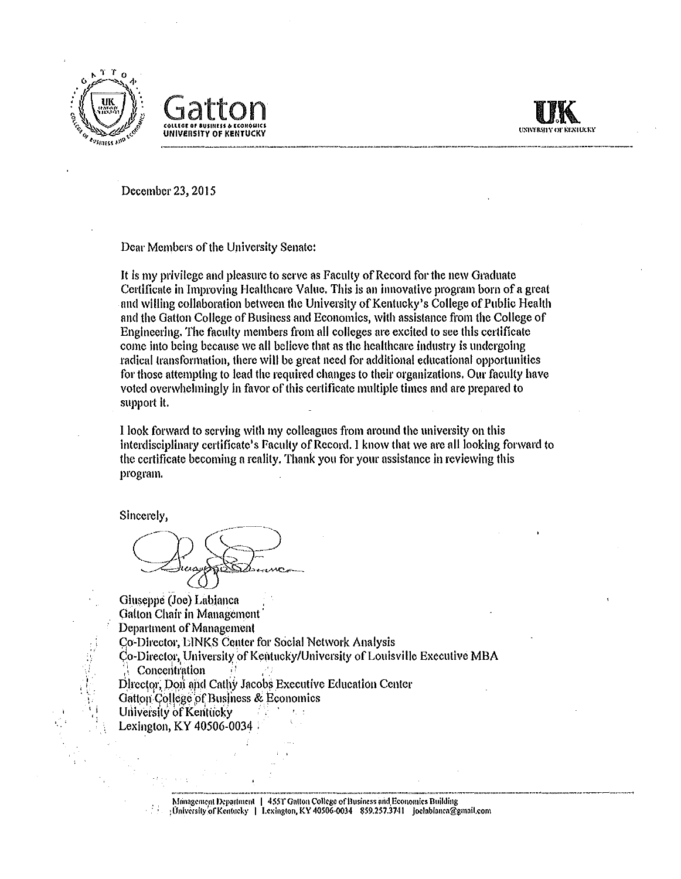





December 23, 2015

Dear Members of the University Senate:

It is my privilege and pleasure to serve as Faculty of Record for the new Graduate Certificate in Improving Healthcare Value. This is an innovative program born of a great and willing collaboration between the University of Kentucky's College of Public Health and the Gatton College of Business and Economics, with assistance from the College of Engineering. The faculty members from all colleges are excited to see this certificate come Into being because we all believe that as the healthcare industry is undergoing radical transformation, there will be great need for additional educational opportunities for those attempting to lead the required changes to their organizations. Our faculty have voted overwhelmingly in favor of this certificate multiple times and are prepared to support It.

I look forward to serving with my colleagues from around the university on this interdisciplinary certificate's Faculty of Record. I know that we arc all looking forward to the certificate becoming n reality. Thank you for your assistance in reviewing this program.

Sincerely,

 $\mathcal{H}_\mathrm{c}$ : 'i ')<br>"

-·· Huay Denne

Giuseppe (Joe) Labianca . Gatton Chair **in** Management· Department of Management Co-Director, LINKS Center for Social Network Analysis Co-Director, University of Kentucky/University of Louisville Executive MBA Concentration Director, Don and Cathy Jacobs Executive Education Center Gatton College of Business & Economics University of Kentucky Lexington, KY 40506-0034

**<sup>1</sup>'f 11nagcmcnt IRpartmenl I** *455T* **Gnttoit** *College* **of Business nnd.Economks Building :OnivCrsity <sup>1</sup> ofKenluck)' I Lexington, KY 40506·0034 859.257.3741** joclabiancn~gmnil.com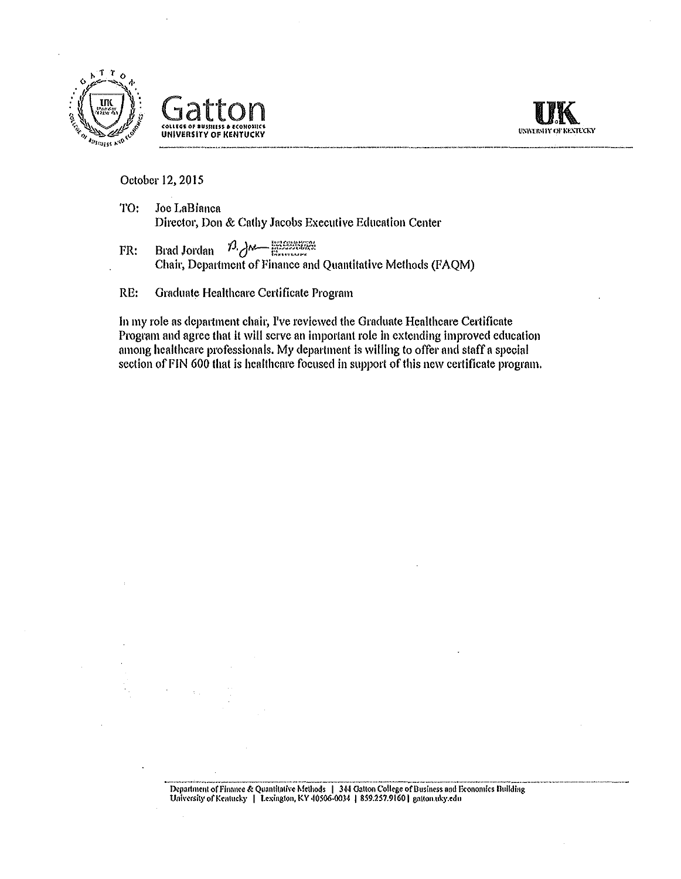



October 12, 2015

- TO: Joe LaBianca Director, Don & Cathy Jacobs Executive Education Center
- $FR:$  Brad Jordan  $\frac{13}{4}$   $\frac{14}{4}$ Chair, Department of Finance and Quantitative Methods (FAQM)
- RE: Graduate Healthcare Certificate Program

ln my role as department chair, I've reviewed the Graduate Healthcare Certificate Program and agree that it wlll serve an important role in extending Improved education among healthcare professionals. My department is willing to offer and staff a special section of FIN 600 that is healthcare focused in support of this new certificate program.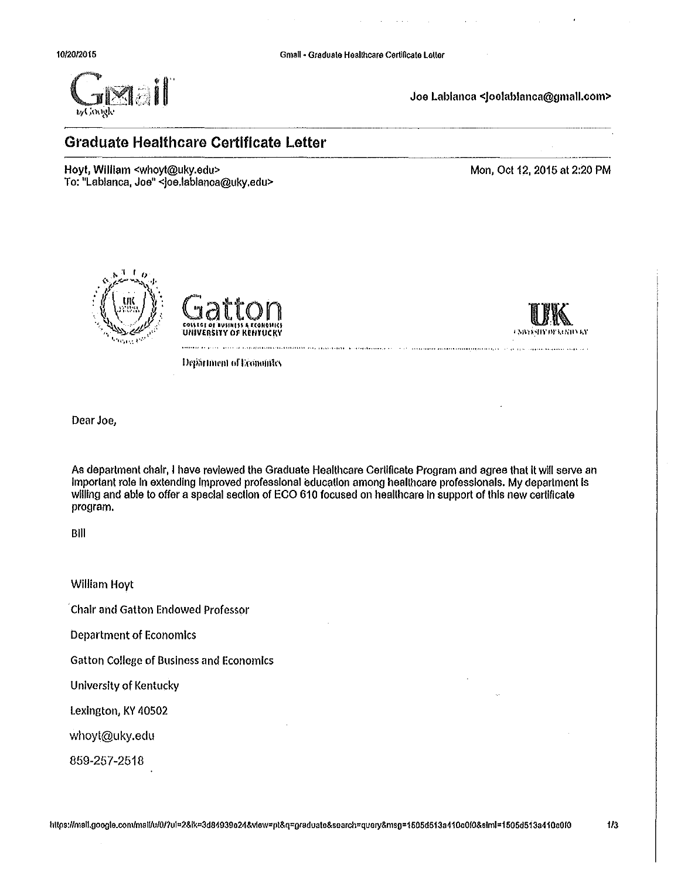

Joe Labianca <Joelablanca@gmall.com>

# **Graduate Healthcare Certificate Letter**

Hoyt, William <whoyt@uky.edu> To: "Labianca, Joe" <joe.lablanca@uky.edu> Mon, Oct 12, 2015 at 2:20 PM





Смихаизманные

**Department of Economics** 

Dear Joe,

As department chair, I have reviewed the Graduate Healthcare Certificate Program and agree that it will serve an Important role In extending Improved professional education among healthcare professionals. My department Is willing and able to offer a special section of ECO 610 focused on healthcare in support of this new certificate program.

Bill

William Hoyt

, Chair and Gatton Endowed Professor

Department of Economics

Gatton College of Business and Economics

University of Kentucky

Lexington, KY 40502

whoyt@uky.edu

859-257-2518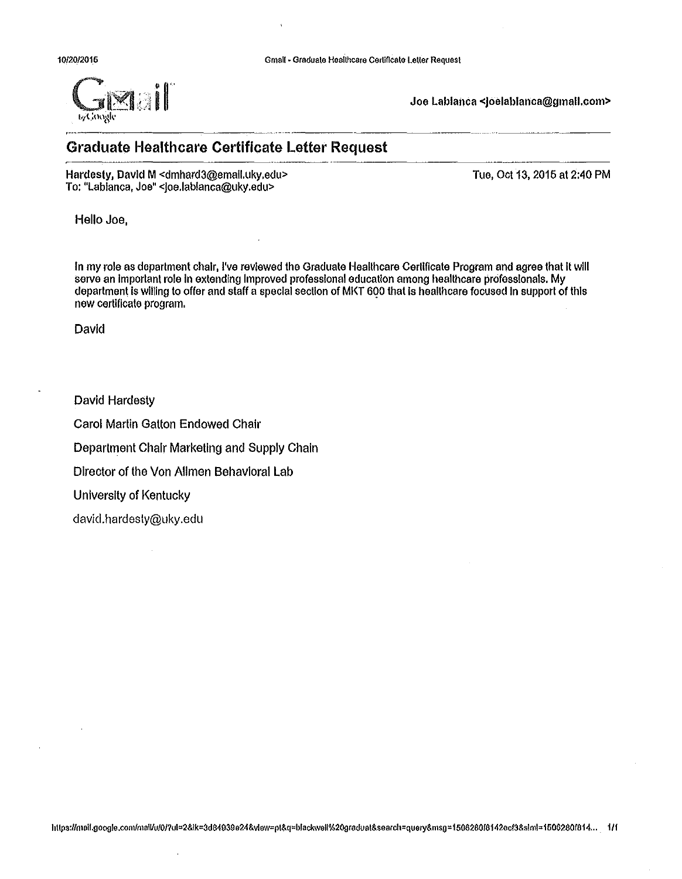

Joe Labianca <Joelablanca@gmall.com>

# **Graduate Healthcare Certificate Letter Request**

Hardesty, David M <dmhard3@emall.uky.edu> To: "Labianca, Joe" <joe.lablanca@uky.edu>

Tue, Oct 13, 2016 at 2:40 PM

Hello Joe,

In my role as department chair, I've reviewed the Graduate Healthcare Certificate Program and agree that It will serve an Important role In extending Improved professional education among healthcare professionals. My department Is wllllng to offer and staff a special section of Ml<T 6QO that Is healthcare focused In support of this new certificate program.

David

David Hardesty

Carol Martin Gatton Endowed Chair

Department Chair Marketing and Supply Chain

Director of the Von Allman Behavioral Lab

 $\cdot$ 

University of Kentucky

david.hardesty@uky.edu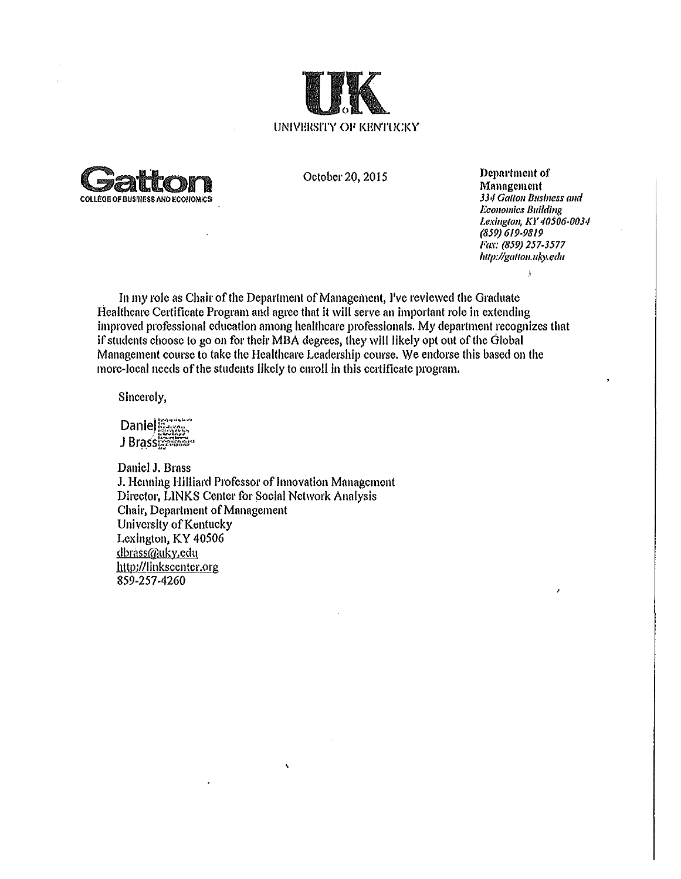



October 20, 2015

Dcpnrtmcnt of Management 334 Gallon Business and *Economics Building* Lex/11g/011, *KY 40506·0034 (859) 619-9819 Fax: (859) 257-3577 /i11p:l/gatto11.11ky.* edu

 $\mathbf{A}$ 

In my role as Chair of the Department of Management, I've reviewed the Graduate Healthcare Certificate Program and agree that it will serve an important role in extending improved professional education among healthcare professionals. My department recognizes that if students choose to go on for their MBA degrees, they will likely opt out of the Global Management course to take the Healthcare Leadership course. We endorse this based on the more-local needs of the students likely to enroll In this certificate program.

Sincerely,

Daniel Barcon J Brass

Daniel J, Brass J, Henning Hilliard Professor of Innovation Management Director, LINKS Center for Social Network Analysis Chair, Department of Management University of Kentucky Lexington, KY 40506 dbrass@uky.edu http://linkscenter.org 859-257-4260

 $\lambda$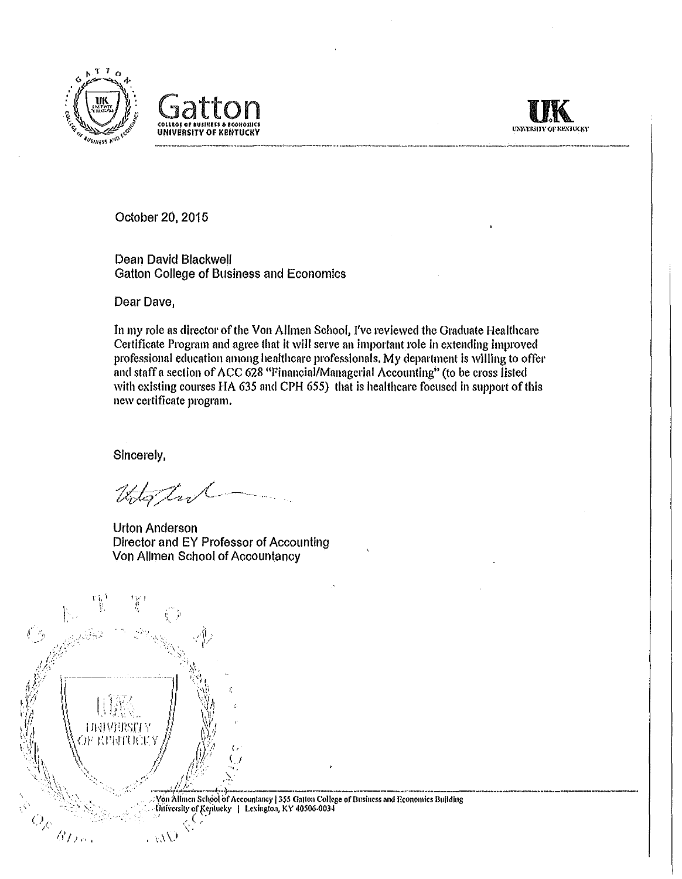





October 20, 2015

Dean David Blackwell Gatton College of Business and Economics

Dear Dave,

In my role as director of the Von Alhnen School, I've reviewed the Graduate Healthcare Certificate Program mid agree that it will serve an Important role in extending improved professional education among healthcare professionals. My department is willing to offer and staff a section of ACC 628 "Financial/Managerial Accounting" (to be cross listed with existing courses HA 635 and CPH 655) that is healthcare focused in support of this new certificate program.

Sincerely,

Uto tut

Urton Anderson Director and EY Professor of Accounting Von Allmen School of Accountancy